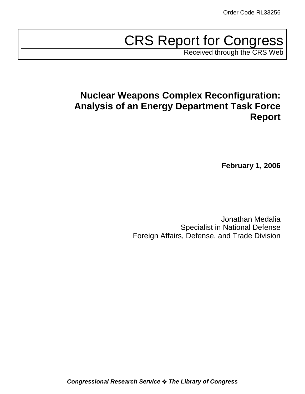# CRS Report for Congress

Received through the CRS Web

## **Nuclear Weapons Complex Reconfiguration: Analysis of an Energy Department Task Force Report**

**February 1, 2006**

Jonathan Medalia Specialist in National Defense Foreign Affairs, Defense, and Trade Division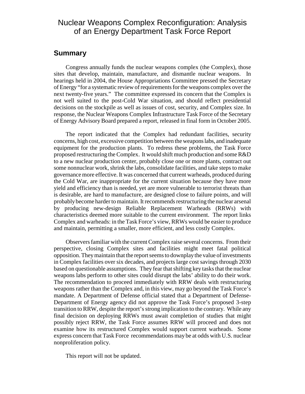## Nuclear Weapons Complex Reconfiguration: Analysis of an Energy Department Task Force Report

### **Summary**

Congress annually funds the nuclear weapons complex (the Complex), those sites that develop, maintain, manufacture, and dismantle nuclear weapons. In hearings held in 2004, the House Appropriations Committee pressed the Secretary of Energy "for a systematic review of requirements for the weapons complex over the next twenty-five years." The committee expressed its concern that the Complex is not well suited to the post-Cold War situation, and should reflect presidential decisions on the stockpile as well as issues of cost, security, and Complex size. In response, the Nuclear Weapons Complex Infrastructure Task Force of the Secretary of Energy Advisory Board prepared a report, released in final form in October 2005.

The report indicated that the Complex had redundant facilities, security concerns, high cost, excessive competition between the weapons labs, and inadequate equipment for the production plants. To redress these problems, the Task Force proposed restructuring the Complex. It would shift much production and some R&D to a new nuclear production center, probably close one or more plants, contract out some nonnuclear work, shrink the labs, consolidate facilities, and take steps to make governance more effective. It was concerned that current warheads, produced during the Cold War, are inappropriate for the current situation because they have more yield and efficiency than is needed, yet are more vulnerable to terrorist threats than is desirable, are hard to manufacture, are designed close to failure points, and will probably become harder to maintain. It recommends restructuring the nuclear arsenal by producing new-design Reliable Replacement Warheads (RRWs) with characteristics deemed more suitable to the current environment. The report links Complex and warheads: in the Task Force's view, RRWs would be easier to produce and maintain, permitting a smaller, more efficient, and less costly Complex.

Observers familiar with the current Complex raise several concerns. From their perspective, closing Complex sites and facilities might meet fatal political opposition. They maintain that the report seems to downplay the value of investments in Complex facilities over six decades, and projects large cost savings through 2030 based on questionable assumptions. They fear that shifting key tasks that the nuclear weapons labs perform to other sites could disrupt the labs' ability to do their work. The recommendation to proceed immediately with RRW deals with restructuring weapons rather than the Complex and, in this view, may go beyond the Task Force's mandate. A Department of Defense official stated that a Department of Defense-Department of Energy agency did not approve the Task Force's proposed 3-step transition to RRW, despite the report's strong implication to the contrary. While any final decision on deploying RRWs must await completion of studies that might possibly reject RRW, the Task Force assumes RRW will proceed and does not examine how its restructured Complex would support current warheads. Some express concern that Task Force recommendations may be at odds with U.S. nuclear nonproliferation policy.

This report will not be updated.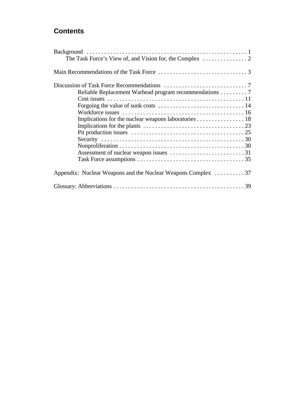## **Contents**

| Reliable Replacement Warhead program recommendations 7       |  |
|--------------------------------------------------------------|--|
|                                                              |  |
|                                                              |  |
|                                                              |  |
| Implications for the nuclear weapons laboratories 18         |  |
|                                                              |  |
|                                                              |  |
|                                                              |  |
|                                                              |  |
|                                                              |  |
|                                                              |  |
| Appendix: Nuclear Weapons and the Nuclear Weapons Complex 37 |  |
|                                                              |  |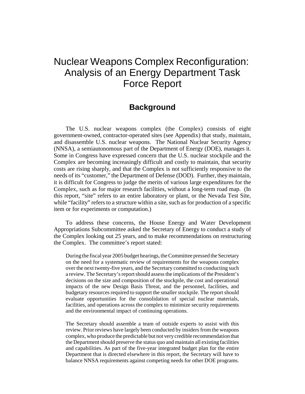## Nuclear Weapons Complex Reconfiguration: Analysis of an Energy Department Task Force Report

## **Background**

The U.S. nuclear weapons complex (the Complex) consists of eight government-owned, contractor-operated sites (see Appendix) that study, maintain, and disassemble U.S. nuclear weapons. The National Nuclear Security Agency (NNSA), a semiautonomous part of the Department of Energy (DOE), manages it. Some in Congress have expressed concern that the U.S. nuclear stockpile and the Complex are becoming increasingly difficult and costly to maintain, that security costs are rising sharply, and that the Complex is not sufficiently responsive to the needs of its "customer," the Department of Defense (DOD). Further, they maintain, it is difficult for Congress to judge the merits of various large expenditures for the Complex, such as for major research facilities, without a long-term road map. (In this report, "site" refers to an entire laboratory or plant, or the Nevada Test Site, while "facility" refers to a structure within a site, such as for production of a specific item or for experiments or computation.)

To address these concerns, the House Energy and Water Development Appropriations Subcommittee asked the Secretary of Energy to conduct a study of the Complex looking out 25 years, and to make recommendations on restructuring the Complex. The committee's report stated:

During the fiscal year 2005 budget hearings, the Committee pressed the Secretary on the need for a systematic review of requirements for the weapons complex over the next twenty-five years, and the Secretary committed to conducting such a review. The Secretary's report should assess the implications of the President's decisions on the size and composition of the stockpile, the cost and operational impacts of the new Design Basis Threat, and the personnel, facilities, and budgetary resources required to support the smaller stockpile. The report should evaluate opportunities for the consolidation of special nuclear materials, facilities, and operations across the complex to minimize security requirements and the environmental impact of continuing operations.

The Secretary should assemble a team of outside experts to assist with this review. Prior reviews have largely been conducted by insiders from the weapons complex, who produce the predictable but not very credible recommendation that the Department should preserve the status quo and maintain all existing facilities and capabilities. As part of the five-year integrated budget plan for the entire Department that is directed elsewhere in this report, the Secretary will have to balance NNSA requirements against competing needs for other DOE programs.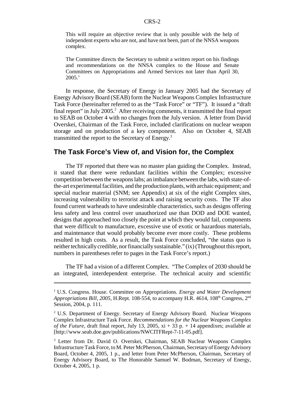This will require an objective review that is only possible with the help of independent experts who are not, and have not been, part of the NNSA weapons complex.

The Committee directs the Secretary to submit a written report on his findings and recommendations on the NNSA complex to the House and Senate Committees on Appropriations and Armed Services not later than April 30,  $2005.<sup>1</sup>$ 

In response, the Secretary of Energy in January 2005 had the Secretary of Energy Advisory Board (SEAB) form the Nuclear Weapons Complex Infrastructure Task Force (hereinafter referred to as the "Task Force" or "TF"). It issued a "draft final report" in July 2005.<sup>2</sup> After receiving comments, it transmitted the final report to SEAB on October 4 with no changes from the July version. A letter from David Overskei, Chairman of the Task Force, included clarifications on nuclear weapon storage and on production of a key component. Also on October 4, SEAB transmitted the report to the Secretary of Energy.<sup>3</sup>

## **The Task Force's View of, and Vision for, the Complex**

The TF reported that there was no master plan guiding the Complex. Instead, it stated that there were redundant facilities within the Complex; excessive competition between the weapons labs; an imbalance between the labs, with state-ofthe-art experimental facilities, and the production plants, with archaic equipment; and special nuclear material (SNM; see Appendix) at six of the eight Complex sites, increasing vulnerability to terrorist attack and raising security costs. The TF also found current warheads to have undesirable characteristics, such as designs offering less safety and less control over unauthorized use than DOD and DOE wanted, designs that approached too closely the point at which they would fail, components that were difficult to manufacture, excessive use of exotic or hazardous materials, and maintenance that would probably become ever more costly. These problems resulted in high costs. As a result, the Task Force concluded, "the status quo is neither technically credible, nor financially sustainable." (ix) (Throughout this report, numbers in parentheses refer to pages in the Task Force's report.)

The TF had a vision of a different Complex. "The Complex of 2030 should be an integrated, interdependent enterprise. The technical acuity and scientific

<sup>&</sup>lt;sup>1</sup> U.S. Congress. House. Committee on Appropriations. *Energy and Water Development Appropriations Bill, 2005, H.Rept. 108-554, to accompany H.R. 4614, 108<sup>th</sup> Congress, 2<sup>nd</sup>* Session, 2004, p. 111.

<sup>&</sup>lt;sup>2</sup> U.S. Department of Energy. Secretary of Energy Advisory Board. Nuclear Weapons Complex Infrastructure Task Force. *Recommendations for the Nuclear Weapons Complex of the Future,* draft final report, July 13, 2005,  $xi + 33 p + 14$  appendixes; available at [http://www.seab.doe.gov/publications/NWCITFRept-7-11-05.pdf].

<sup>&</sup>lt;sup>3</sup> Letter from Dr. David O. Overskei, Chairman, SEAB Nuclear Weapons Complex Infrastructure Task Force, to M. Peter McPherson, Chairman, Secretary of Energy Advisory Board, October 4, 2005, 1 p., and letter from Peter McPherson, Chairman, Secretary of Energy Advisory Board, to The Honorable Samuel W. Bodman, Secretary of Energy, October 4, 2005, 1 p.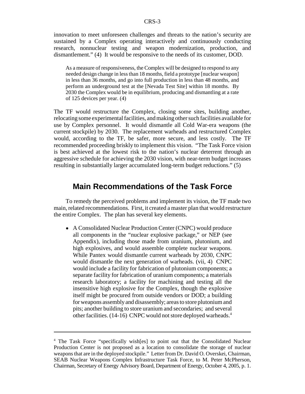innovation to meet unforeseen challenges and threats to the nation's security are sustained by a Complex operating interactively and continuously conducting research, nonnuclear testing and weapon modernization, production, and dismantlement." (4) It would be responsive to the needs of its customer, DOD.

As a measure of responsiveness, the Complex will be designed to respond to any needed design change in less than 18 months, field a prototype [nuclear weapon] in less than 36 months, and go into full production in less than 48 months, and perform an underground test at the [Nevada Test Site] within 18 months. By 2030 the Complex would be in equilibrium, producing and dismantling at a rate of 125 devices per year. (4)

The TF would restructure the Complex, closing some sites, building another, relocating some experimental facilities, and making other such facilities available for use by Complex personnel. It would dismantle all Cold War-era weapons (the current stockpile) by 2030. The replacement warheads and restructured Complex would, according to the TF, be safer, more secure, and less costly. The TF recommended proceeding briskly to implement this vision. "The Task Force vision is best achieved at the lowest risk to the nation's nuclear deterrent through an aggressive schedule for achieving the 2030 vision, with near-term budget increases resulting in substantially larger accumulated long-term budget reductions." (5)

## **Main Recommendations of the Task Force**

To remedy the perceived problems and implement its vision, the TF made two main, related recommendations. First, it created a master plan that would restructure the entire Complex. The plan has several key elements.

• A Consolidated Nuclear Production Center (CNPC) would produce all components in the "nuclear explosive package," or NEP (see Appendix), including those made from uranium, plutonium, and high explosives, and would assemble complete nuclear weapons. While Pantex would dismantle current warheads by 2030, CNPC would dismantle the next generation of warheads. (vii, 4) CNPC would include a facility for fabrication of plutonium components; a separate facility for fabrication of uranium components; a materials research laboratory; a facility for machining and testing all the insensitive high explosive for the Complex, though the explosive itself might be procured from outside vendors or DOD; a building for weapons assembly and disassembly; areas to store plutonium and pits; another building to store uranium and secondaries; and several other facilities. (14-16) CNPC would not store deployed warheads.4

<sup>&</sup>lt;sup>4</sup> The Task Force "specifically wish[es] to point out that the Consolidated Nuclear Production Center is not proposed as a location to consolidate the storage of nuclear weapons that are in the deployed stockpile." Letter from Dr. David O. Overskei, Chairman, SEAB Nuclear Weapons Complex Infrastructure Task Force, to M. Peter McPherson, Chairman, Secretary of Energy Advisory Board, Department of Energy, October 4, 2005, p. 1.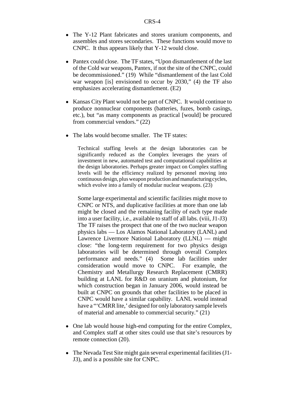- The Y-12 Plant fabricates and stores uranium components, and assembles and stores secondaries. These functions would move to CNPC. It thus appears likely that Y-12 would close.
- Pantex could close. The TF states, "Upon dismantlement of the last of the Cold war weapons, Pantex, if not the site of the CNPC, could be decommissioned." (19) While "dismantlement of the last Cold war weapon [is] envisioned to occur by 2030," (4) the TF also emphasizes accelerating dismantlement. (E2)
- Kansas City Plant would not be part of CNPC. It would continue to produce nonnuclear components (batteries, fuzes, bomb casings, etc.), but "as many components as practical [would] be procured from commercial vendors." (22)
- The labs would become smaller. The TF states:

Technical staffing levels at the design laboratories can be significantly reduced as the Complex leverages the years of investment in new, automated test and computational capabilities at the design laboratories. Perhaps greater impact on Complex staffing levels will be the efficiency realized by personnel moving into continuous design, plus weapon production and manufacturing cycles, which evolve into a family of modular nuclear weapons.  $(23)$ 

Some large experimental and scientific facilities might move to CNPC or NTS, and duplicative facilities at more than one lab might be closed and the remaining facility of each type made into a user facility, i.e., available to staff of all labs. (viii, J1-J3) The TF raises the prospect that one of the two nuclear weapon physics labs — Los Alamos National Laboratory (LANL) and Lawrence Livermore National Laboratory (LLNL) — might close: "the long-term requirement for two physics design laboratories will be determined through overall Complex performance and needs." (4) Some lab facilities under consideration would move to CNPC. For example, the Chemistry and Metallurgy Research Replacement (CMRR) building at LANL for R&D on uranium and plutonium, for which construction began in January 2006, would instead be built at CNPC on grounds that other facilities to be placed in CNPC would have a similar capability. LANL would instead have a "'CMRR lite,' designed for only laboratory sample levels of material and amenable to commercial security." (21)

- One lab would house high-end computing for the entire Complex, and Complex staff at other sites could use that site's resources by remote connection (20).
- The Nevada Test Site might gain several experimental facilities (J1-J3), and is a possible site for CNPC.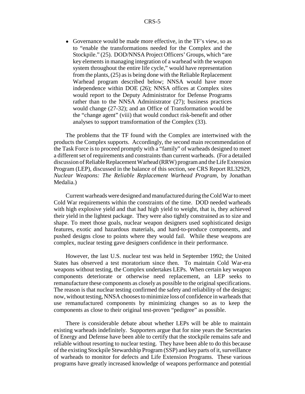! Governance would be made more effective, in the TF's view, so as to "enable the transformations needed for the Complex and the Stockpile." (25). DOD/NNSA Project Officers' Groups, which "are key elements in managing integration of a warhead with the weapon system throughout the entire life cycle," would have representation from the plants, (25) as is being done with the Reliable Replacement Warhead program described below; NNSA would have more independence within DOE (26); NNSA offices at Complex sites would report to the Deputy Administrator for Defense Programs rather than to the NNSA Administrator (27); business practices would change (27-32); and an Office of Transformation would be the "change agent" (viii) that would conduct risk-benefit and other analyses to support transformation of the Complex (33).

The problems that the TF found with the Complex are intertwined with the products the Complex supports. Accordingly, the second main recommendation of the Task Force is to proceed promptly with a "family" of warheads designed to meet a different set of requirements and constraints than current warheads. (For a detailed discussion of Reliable Replacement Warhead (RRW) program and the Life Extension Program (LEP), discussed in the balance of this section, see CRS Report RL32929, *Nuclear Weapons: The Reliable Replacement Warhead Program*, by Jonathan Medalia.)

Current warheads were designed and manufactured during the Cold War to meet Cold War requirements within the constraints of the time. DOD needed warheads with high explosive yield and that had high yield to weight, that is, they achieved their yield in the lightest package. They were also tightly constrained as to size and shape. To meet those goals, nuclear weapon designers used sophisticated design features, exotic and hazardous materials, and hard-to-produce components, and pushed designs close to points where they would fail. While these weapons are complex, nuclear testing gave designers confidence in their performance.

However, the last U.S. nuclear test was held in September 1992; the United States has observed a test moratorium since then. To maintain Cold War-era weapons without testing, the Complex undertakes LEPs. When certain key weapon components deteriorate or otherwise need replacement, an LEP seeks to remanufacture these components as closely as possible to the original specifications. The reason is that nuclear testing confirmed the safety and reliability of the designs; now, without testing, NNSA chooses to minimize loss of confidence in warheads that use remanufactured components by minimizing changes so as to keep the components as close to their original test-proven "pedigree" as possible.

There is considerable debate about whether LEPs will be able to maintain existing warheads indefinitely. Supporters argue that for nine years the Secretaries of Energy and Defense have been able to certify that the stockpile remains safe and reliable without resorting to nuclear testing. They have been able to do this because of the existing Stockpile Stewardship Program (SSP) and key parts of it, surveillance of warheads to monitor for defects and Life Extension Programs. These various programs have greatly increased knowledge of weapons performance and potential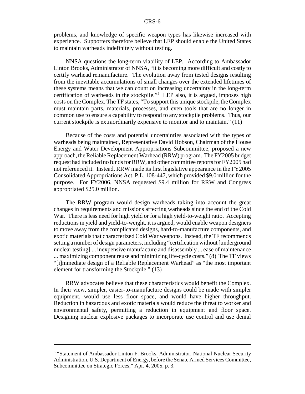problems, and knowledge of specific weapon types has likewise increased with experience. Supporters therefore believe that LEP should enable the United States to maintain warheads indefinitely without testing.

NNSA questions the long-term viability of LEP. According to Ambassador Linton Brooks, Administrator of NNSA, "it is becoming more difficult and costly to certify warhead remanufacture. The evolution away from tested designs resulting from the inevitable accumulations of small changes over the extended lifetimes of these systems means that we can count on increasing uncertainty in the long-term certification of warheads in the stockpile."5 LEP also, it is argued, imposes high costs on the Complex. The TF states, "To support this unique stockpile, the Complex must maintain parts, materials, processes, and even tools that are no longer in common use to ensure a capability to respond to any stockpile problems. Thus, our current stockpile is extraordinarily expensive to monitor and to maintain." (11)

Because of the costs and potential uncertainties associated with the types of warheads being maintained, Representative David Hobson, Chairman of the House Energy and Water Development Appropriations Subcommittee, proposed a new approach, the Reliable Replacement Warhead (RRW) program. The FY2005 budget request had included no funds for RRW, and other committee reports for FY2005 had not referenced it. Instead, RRW made its first legislative appearance in the FY2005 Consolidated Appropriations Act, P.L. 108-447, which provided \$9.0 million for the purpose. For FY2006, NNSA requested \$9.4 million for RRW and Congress appropriated \$25.0 million.

The RRW program would design warheads taking into account the great changes in requirements and missions affecting warheads since the end of the Cold War. There is less need for high yield or for a high yield-to-weight ratio. Accepting reductions in yield and yield-to-weight, it is argued, would enable weapon designers to move away from the complicated designs, hard-to-manufacture components, and exotic materials that characterized Cold War weapons. Instead, the TF recommends setting a number of design parameters, including "certification without [underground nuclear testing] ... inexpensive manufacture and disassembly ... ease of maintenance ... maximizing component reuse and minimizing life-cycle costs." (8) The TF views "[i]mmediate design of a Reliable Replacement Warhead" as "the most important element for transforming the Stockpile." (13)

RRW advocates believe that these characteristics would benefit the Complex. In their view, simpler, easier-to-manufacture designs could be made with simpler equipment, would use less floor space, and would have higher throughput. Reduction in hazardous and exotic materials would reduce the threat to worker and environmental safety, permitting a reduction in equipment and floor space. Designing nuclear explosive packages to incorporate use control and use denial

<sup>&</sup>lt;sup>5</sup> "Statement of Ambassador Linton F. Brooks, Administrator, National Nuclear Security Administration, U.S. Department of Energy, before the Senate Armed Services Committee, Subcommittee on Strategic Forces," Apr. 4, 2005, p. 3.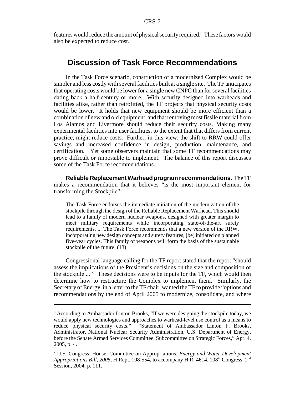features would reduce the amount of physical security required.<sup>6</sup> These factors would also be expected to reduce cost.

## **Discussion of Task Force Recommendations**

In the Task Force scenario, construction of a modernized Complex would be simpler and less costly with several facilities built at a single site. The TF anticipates that operating costs would be lower for a single new CNPC than for several facilities dating back a half-century or more. With security designed into warheads and facilities alike, rather than retrofitted, the TF projects that physical security costs would be lower. It holds that new equipment should be more efficient than a combination of new and old equipment, and that removing most fissile material from Los Alamos and Livermore should reduce their security costs. Making many experimental facilities into user facilities, to the extent that that differs from current practice, might reduce costs. Further, in this view, the shift to RRW could offer savings and increased confidence in design, production, maintenance, and certification. Yet some observers maintain that some TF recommendations may prove difficult or impossible to implement. The balance of this report discusses some of the Task Force recommendations.

**Reliable Replacement Warhead program recommendations.** The TF makes a recommendation that it believes "is the most important element for transforming the Stockpile":

The Task Force endorses the immediate initiation of the modernization of the stockpile through the design of the Reliable Replacement Warhead. This should lead to a family of modern nuclear weapons, designed with greater margin to meet military requirements while incorporating state-of-the-art surety requirements. ... The Task Force recommends that a new version of the RRW, incorporating new design concepts and surety features, [be] initiated on planned five-year cycles. This family of weapons will form the basis of the sustainable stockpile of the future. (13)

Congressional language calling for the TF report stated that the report "should assess the implications of the President's decisions on the size and composition of the stockpile ..."7 These decisions were to be inputs for the TF, which would then determine how to restructure the Complex to implement them. Similarly, the Secretary of Energy, in a letter to the TF chair, wanted the TF to provide "options and recommendations by the end of April 2005 to modernize, consolidate, and where

<sup>&</sup>lt;sup>6</sup> According to Ambassador Linton Brooks, "If we were designing the stockpile today, we would apply new technologies and approaches to warhead-level use control as a means to reduce physical security costs." "Statement of Ambassador Linton F. Brooks, Administrator, National Nuclear Security Administration, U.S. Department of Energy, before the Senate Armed Services Committee, Subcommittee on Strategic Forces," Apr. 4, 2005, p. 4.

<sup>7</sup> U.S. Congress. House. Committee on Appropriations. *Energy and Water Development Appropriations Bill, 2005, H.Rept. 108-554, to accompany H.R. 4614, 108<sup>th</sup> Congress, 2<sup>nd</sup>* Session, 2004, p. 111.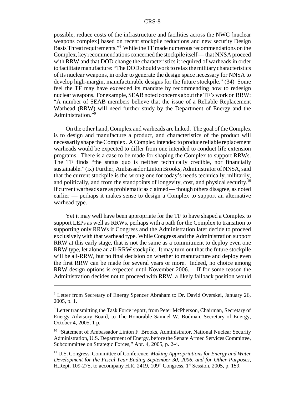possible, reduce costs of the infrastructure and facilities across the NWC [nuclear weapons complex] based on recent stockpile reductions and new security Design Basis Threat requirements."8 While the TF made numerous recommendations on the Complex, key recommendations concerned the stockpile itself — that NNSA proceed with RRW and that DOD change the characteristics it required of warheads in order to facilitate manufacture: "The DOD should work to relax the military characteristics of its nuclear weapons, in order to generate the design space necessary for NNSA to develop high-margin, manufacturable designs for the future stockpile." (34) Some feel the TF may have exceeded its mandate by recommending how to redesign nuclear weapons. For example, SEAB noted concerns about the TF's work on RRW: "A number of SEAB members believe that the issue of a Reliable Replacement Warhead (RRW) will need further study by the Department of Energy and the Administration."<sup>9</sup>

On the other hand, Complex and warheads are linked. The goal of the Complex is to design and manufacture a product, and characteristics of the product will necessarily shape the Complex. A Complex intended to produce reliable replacement warheads would be expected to differ from one intended to conduct life extension programs. There is a case to be made for shaping the Complex to support RRWs. The TF finds "the status quo is neither technically credible, nor financially sustainable." (ix) Further, Ambassador Linton Brooks, Administrator of NNSA, said that the current stockpile is the wrong one for today's needs technically, militarily, and politically, and from the standpoints of longevity, cost, and physical security.<sup>10</sup> If current warheads are as problematic as claimed — though others disagree, as noted earlier — perhaps it makes sense to design a Complex to support an alternative warhead type.

Yet it may well have been appropriate for the TF to have shaped a Complex to support LEPs as well as RRWs, perhaps with a path for the Complex to transition to supporting only RRWs if Congress and the Administration later decide to proceed exclusively with that warhead type. While Congress and the Administration support RRW at this early stage, that is not the same as a commitment to deploy even one RRW type, let alone an all-RRW stockpile. It may turn out that the future stockpile will be all-RRW, but no final decision on whether to manufacture and deploy even the first RRW can be made for several years or more. Indeed, no choice among RRW design options is expected until November  $2006<sup>11</sup>$  If for some reason the Administration decides not to proceed with RRW, a likely fallback position would

<sup>&</sup>lt;sup>8</sup> Letter from Secretary of Energy Spencer Abraham to Dr. David Overskei, January 26, 2005, p. 1.

<sup>&</sup>lt;sup>9</sup> Letter transmitting the Task Force report, from Peter McPherson, Chairman, Secretary of Energy Advisory Board, to The Honorable Samuel W. Bodman, Secretary of Energy, October 4, 2005, 1 p.

<sup>&</sup>lt;sup>10</sup> "Statement of Ambassador Linton F. Brooks, Administrator, National Nuclear Security Administration, U.S. Department of Energy, before the Senate Armed Services Committee, Subcommittee on Strategic Forces," Apr. 4, 2005, p. 2-4.

<sup>11</sup> U.S. Congress. Committee of Conference. *Making Appropriations for Energy and Water Development for the Fiscal Year Ending September 30, 2006, and for Other Purposes,* H.Rept. 109-275, to accompany H.R. 2419,  $109<sup>th</sup>$  Congress,  $1<sup>st</sup>$  Session, 2005, p. 159.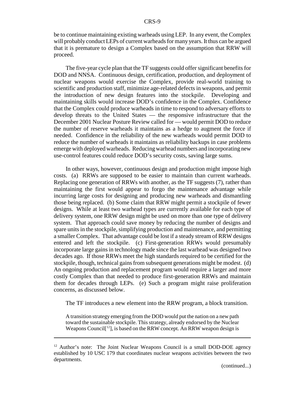be to continue maintaining existing warheads using LEP. In any event, the Complex will probably conduct LEPs of current warheads for many years. It thus can be argued that it is premature to design a Complex based on the assumption that RRW will proceed.

The five-year cycle plan that the TF suggests could offer significant benefits for DOD and NNSA. Continuous design, certification, production, and deployment of nuclear weapons would exercise the Complex, provide real-world training to scientific and production staff, minimize age-related defects in weapons, and permit the introduction of new design features into the stockpile. Developing and maintaining skills would increase DOD's confidence in the Complex. Confidence that the Complex could produce warheads in time to respond to adversary efforts to develop threats to the United States — the responsive infrastructure that the December 2001 Nuclear Posture Review called for — would permit DOD to reduce the number of reserve warheads it maintains as a hedge to augment the force if needed. Confidence in the reliability of the new warheads would permit DOD to reduce the number of warheads it maintains as reliability backups in case problems emerge with deployed warheads. Reducing warhead numbers and incorporating new use-control features could reduce DOD's security costs, saving large sums.

In other ways, however, continuous design and production might impose high costs. (a) RRWs are supposed to be easier to maintain than current warheads. Replacing one generation of RRWs with another, as the TF suggests (7), rather than maintaining the first would appear to forgo the maintenance advantage while incurring large costs for designing and producing new warheads and dismantling those being replaced. (b) Some claim that RRW might permit a stockpile of fewer designs. While at least two warhead types are currently available for each type of delivery system, one RRW design might be used on more than one type of delivery system. That approach could save money by reducing the number of designs and spare units in the stockpile, simplifying production and maintenance, and permitting a smaller Complex. That advantage could be lost if a steady stream of RRW designs entered and left the stockpile. (c) First-generation RRWs would presumably incorporate large gains in technology made since the last warhead was designed two decades ago. If those RRWs meet the high standards required to be certified for the stockpile, though, technical gains from subsequent generations might be modest. (d) An ongoing production and replacement program would require a larger and more costly Complex than that needed to produce first-generation RRWs and maintain them for decades through LEPs. (e) Such a program might raise proliferation concerns, as discussed below.

The TF introduces a new element into the RRW program, a block transition.

A transition strategy emerging from the DOD would put the nation on a new path toward the sustainable stockpile. This strategy, already endorsed by the Nuclear Weapons Council<sup>[12</sup>], is based on the RRW concept. An RRW weapon design is

 $12$  Author's note: The Joint Nuclear Weapons Council is a small DOD-DOE agency established by 10 USC 179 that coordinates nuclear weapons activities between the two departments.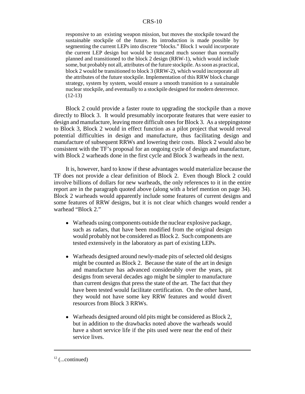responsive to an existing weapon mission, but moves the stockpile toward the sustainable stockpile of the future. Its introduction is made possible by segmenting the current LEPs into discrete "blocks." Block 1 would incorporate the current LEP design but would be truncated much sooner than normally planned and transitioned to the block 2 design (RRW-1), which would include some, but probably not all, attributes of the future stockpile. As soon as practical, block 2 would be transitioned to block 3 (RRW-2), which would incorporate all the attributes of the future stockpile. Implementation of this RRW block change strategy, system by system, would ensure a smooth transition to a sustainable nuclear stockpile, and eventually to a stockpile designed for modern deterrence. (12-13)

Block 2 could provide a faster route to upgrading the stockpile than a move directly to Block 3. It would presumably incorporate features that were easier to design and manufacture, leaving more difficult ones for Block 3. As a steppingstone to Block 3, Block 2 would in effect function as a pilot project that would reveal potential difficulties in design and manufacture, thus facilitating design and manufacture of subsequent RRWs and lowering their costs. Block 2 would also be consistent with the TF's proposal for an ongoing cycle of design and manufacture, with Block 2 warheads done in the first cycle and Block 3 warheads in the next.

It is, however, hard to know if these advantages would materialize because the TF does not provide a clear definition of Block 2. Even though Block 2 could involve billions of dollars for new warheads, the only references to it in the entire report are in the paragraph quoted above (along with a brief mention on page 34). Block 2 warheads would apparently include some features of current designs and some features of RRW designs, but it is not clear which changes would render a warhead "Block 2."

- ! Warheads using components outside the nuclear explosive package, such as radars, that have been modified from the original design would probably not be considered as Block 2. Such components are tested extensively in the laboratory as part of existing LEPs.
- Warheads designed around newly-made pits of selected old designs might be counted as Block 2. Because the state of the art in design and manufacture has advanced considerably over the years, pit designs from several decades ago might be simpler to manufacture than current designs that press the state of the art. The fact that they have been tested would facilitate certification. On the other hand, they would not have some key RRW features and would divert resources from Block 3 RRWs.
- Warheads designed around old pits might be considered as Block 2, but in addition to the drawbacks noted above the warheads would have a short service life if the pits used were near the end of their service lives.

 $12$  (...continued)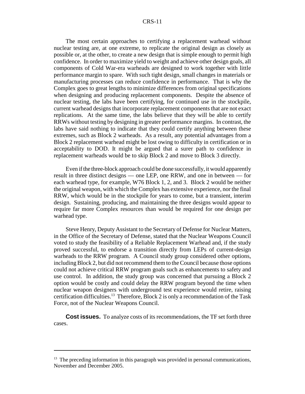The most certain approaches to certifying a replacement warhead without nuclear testing are, at one extreme, to replicate the original design as closely as possible or, at the other, to create a new design that is simple enough to permit high confidence. In order to maximize yield to weight and achieve other design goals, all components of Cold War-era warheads are designed to work together with little performance margin to spare. With such tight design, small changes in materials or manufacturing processes can reduce confidence in performance. That is why the Complex goes to great lengths to minimize differences from original specifications when designing and producing replacement components. Despite the absence of nuclear testing, the labs have been certifying, for continued use in the stockpile, current warhead designs that incorporate replacement components that are not exact replications. At the same time, the labs believe that they will be able to certify RRWs without testing by designing in greater performance margins. In contrast, the labs have said nothing to indicate that they could certify anything between these extremes, such as Block 2 warheads. As a result, any potential advantages from a Block 2 replacement warhead might be lost owing to difficulty in certification or in acceptability to DOD. It might be argued that a surer path to confidence in replacement warheads would be to skip Block 2 and move to Block 3 directly.

Even if the three-block approach could be done successfully, it would apparently result in three distinct designs — one LEP, one RRW, and one in between — for each warhead type, for example, W76 Block 1, 2, and 3. Block 2 would be neither the original weapon, with which the Complex has extensive experience, nor the final RRW, which would be in the stockpile for years to come, but a transient, interim design. Sustaining, producing, and maintaining the three designs would appear to require far more Complex resources than would be required for one design per warhead type.

Steve Henry, Deputy Assistant to the Secretary of Defense for Nuclear Matters, in the Office of the Secretary of Defense, stated that the Nuclear Weapons Council voted to study the feasibility of a Reliable Replacement Warhead and, if the study proved successful, to endorse a transition directly from LEPs of current-design warheads to the RRW program. A Council study group considered other options, including Block 2, but did not recommend them to the Council because those options could not achieve critical RRW program goals such as enhancements to safety and use control. In addition, the study group was concerned that pursuing a Block 2 option would be costly and could delay the RRW program beyond the time when nuclear weapon designers with underground test experience would retire, raising certification difficulties.13 Therefore, Block 2 is only a recommendation of the Task Force, not of the Nuclear Weapons Council.

**Cost issues.** To analyze costs of its recommendations, the TF set forth three cases.

 $13$  The preceding information in this paragraph was provided in personal communications, November and December 2005.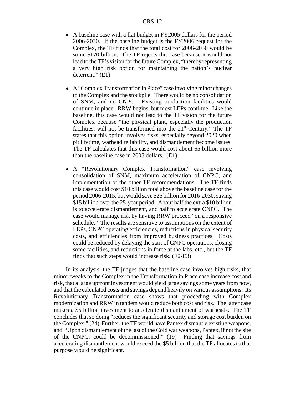- A baseline case with a flat budget in FY2005 dollars for the period 2006-2030. If the baseline budget is the FY2006 request for the Complex, the TF finds that the total cost for 2006-2030 would be some \$170 billion. The TF rejects this case because it would not lead to the TF's vision for the future Complex, "thereby representing a very high risk option for maintaining the nation's nuclear deterrent." (E1)
- ! A "Complex Transformation in Place" case involving minor changes to the Complex and the stockpile. There would be no consolidation of SNM, and no CNPC. Existing production facilities would continue in place. RRW begins, but most LEPs continue. Like the baseline, this case would not lead to the TF vision for the future Complex because "the physical plant, especially the production facilities, will not be transformed into the  $21<sup>st</sup>$  Century." The TF states that this option involves risks, especially beyond 2020 when pit lifetime, warhead reliability, and dismantlement become issues. The TF calculates that this case would cost about \$5 billion more than the baseline case in 2005 dollars. (E1)
- A "Revolutionary Complex Transformation" case involving consolidation of SNM, maximum acceleration of CNPC, and implementation of the other TF recommendations. The TF finds this case would cost \$10 billion total above the baseline case for the period 2006-2015, but would save \$25 billion for 2016-2030, saving \$15 billion over the 25-year period. About half the extra \$10 billion is to accelerate dismantlement, and half to accelerate CNPC. The case would manage risk by having RRW proceed "on a responsive schedule." The results are sensitive to assumptions on the extent of LEPs, CNPC operating efficiencies, reductions in physical security costs, and efficiencies from improved business practices. Costs could be reduced by delaying the start of CNPC operations, closing some facilities, and reductions in force at the labs, etc., but the TF finds that such steps would increase risk. (E2-E3)

In its analysis, the TF judges that the baseline case involves high risks, that minor tweaks to the Complex in the Transformation in Place case increase cost and risk, that a large upfront investment would yield large savings some years from now, and that the calculated costs and savings depend heavily on various assumptions. Its Revolutionary Transformation case shows that proceeding with Complex modernization and RRW in tandem would reduce both cost and risk. The latter case makes a \$5 billion investment to accelerate dismantlement of warheads. The TF concludes that so doing "reduces the significant security and storage cost burden on the Complex." (24) Further, the TF would have Pantex dismantle existing weapons, and "Upon dismantlement of the last of the Cold war weapons, Pantex, if not the site of the CNPC, could be decommissioned." (19) Finding that savings from accelerating dismantlement would exceed the \$5 billion that the TF allocates to that purpose would be significant.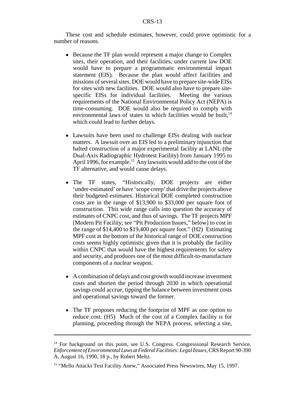These cost and schedule estimates, however, could prove optimistic for a number of reasons.

- Because the TF plan would represent a major change to Complex sites, their operation, and their facilities, under current law DOE would have to prepare a programmatic environmental impact statement (EIS). Because the plan would affect facilities and missions of several sites, DOE would have to prepare site-wide EISs for sites with new facilities. DOE would also have to prepare sitespecific EISs for individual facilities. Meeting the various requirements of the National Environmental Policy Act (NEPA) is time-consuming. DOE would also be required to comply with environmental laws of states in which facilities would be built, $14$ which could lead to further delays.
- Lawsuits have been used to challenge EISs dealing with nuclear matters. A lawsuit over an EIS led to a preliminary injunction that halted construction of a major experimental facility at LANL (the Dual-Axis Radiographic Hydrotest Facility) from January 1995 to April 1996, for example.<sup>15</sup> Any lawsuits would add to the cost of the TF alternative, and would cause delays.
- The TF states, "Historically, DOE projects are either 'under-estimated' or have 'scope creep' that drive the projects above their budgeted estimates. Historical DOE completed construction costs are in the range of \$13,900 to \$33,000 per square foot of construction. This wide range calls into question the accuracy of estimates of CNPC cost, and thus of savings. The TF projects MPF [Modern Pit Facility; see "Pit Production Issues," below] to cost in the range of \$14,400 to \$19,400 per square foot." (H2) Estimating MPF cost at the bottom of the historical range of DOE construction costs seems highly optimistic given that it is probably the facility within CNPC that would have the highest requirements for safety and security, and produces one of the most difficult-to-manufacture components of a nuclear weapon.
- ! A combination of delays and cost growth would increase investment costs and shorten the period through 2030 in which operational savings could accrue, tipping the balance between investment costs and operational savings toward the former.
- The TF proposes reducing the footprint of MPF as one option to reduce cost. (H5) Much of the cost of a Complex facility is for planning, proceeding through the NEPA process, selecting a site,

<sup>&</sup>lt;sup>14</sup> For background on this point, see U.S. Congress. Congressional Research Service. *Enforcement of Environmental Laws at Federal Facilities: Legal Issues,* CRS Report 90-390 A, August 16, 1990, 18 p., by Robert Meltz.

<sup>&</sup>lt;sup>15</sup> "Mello Attacks Test Facility Anew," Associated Press Newswires, May 15, 1997.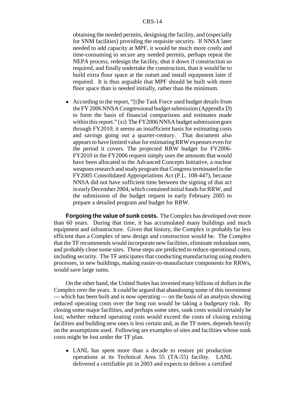obtaining the needed permits, designing the facility, and (especially for SNM facilities) providing the requisite security. If NNSA later needed to add capacity at MPF, it would be much more costly and time-consuming to secure any needed permits, perhaps repeat the NEPA process, redesign the facility, shut it down if construction so required, and finally undertake the construction, than it would be to build extra floor space at the outset and install equipment later if required. It is thus arguable that MPF should be built with more floor space than is needed initially, rather than the minimum.

• According to the report, "[t]he Task Force used budget details from the FY 2006 NNSA Congressional budget submission (Appendix D) to form the basis of financial comparisons and estimates made within this report." (xi) The FY2006 NNSA budget submission goes through FY2010; it seems an insufficient basis for estimating costs and savings going out a quarter-century. That document also appears to have limited value for estimating RRW expenses even for the period it covers. The projected RRW budget for FY2006- FY2010 in the FY2006 request simply uses the amounts that would have been allocated to the Advanced Concepts Initiative, a nuclear weapons research and study program that Congress terminated in the FY2005 Consolidated Appropriations Act (P.L. 108-447), because NNSA did not have sufficient time between the signing of that act in early December 2004, which contained initial funds for RRW, and the submission of the budget request in early February 2005 to prepare a detailed program and budget for RRW.

**Forgoing the value of sunk costs.** The Complex has developed over more than 60 years. During that time, it has accumulated many buildings and much equipment and infrastructure. Given that history, the Complex is probably far less efficient than a Complex of new design and construction would be. The Complex that the TF recommends would incorporate new facilities, eliminate redundant ones, and probably close some sites. These steps are predicted to reduce operational costs, including security. The TF anticipates that conducting manufacturing using modern processes, in new buildings, making easier-to-manufacture components for RRWs, would save large sums.

On the other hand, the United States has invested many billions of dollars in the Complex over the years. It could be argued that abandoning some of this investment — which has been built and is now operating — on the basis of an analysis showing reduced operating costs over the long run would be taking a budgetary risk. By closing some major facilities, and perhaps some sites, sunk costs would certainly be lost; whether reduced operating costs would exceed the costs of closing existing facilities and building new ones is less certain and, as the TF notes, depends heavily on the assumptions used. Following are examples of sites and facilities whose sunk costs might be lost under the TF plan.

• LANL has spent more than a decade to restore pit production operations at its Technical Area 55 (TA-55) facility. LANL delivered a certifiable pit in 2003 and expects to deliver a certified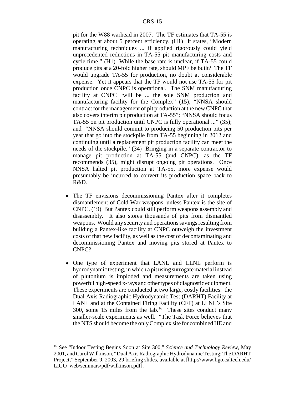pit for the W88 warhead in 2007. The TF estimates that TA-55 is operating at about 5 percent efficiency. (H1) It states, "Modern manufacturing techniques ... if applied rigorously could yield unprecedented reductions in TA-55 pit manufacturing costs and cycle time." (H1) While the base rate is unclear, if TA-55 could produce pits at a 20-fold higher rate, should MPF be built? The TF would upgrade TA-55 for production, no doubt at considerable expense. Yet it appears that the TF would not use TA-55 for pit production once CNPC is operational. The SNM manufacturing facility at CNPC "will be ... the sole SNM production and manufacturing facility for the Complex" (15); "NNSA should contract for the management of pit production at the new CNPC that also covers interim pit production at TA-55"; "NNSA should focus TA-55 on pit production until CNPC is fully operational ..." (35); and "NNSA should commit to producing 50 production pits per year that go into the stockpile from TA-55 beginning in 2012 and continuing until a replacement pit production facility can meet the needs of the stockpile." (34) Bringing in a separate contractor to manage pit production at TA-55 (and CNPC), as the TF recommends (35), might disrupt ongoing pit operations. Once NNSA halted pit production at TA-55, more expense would presumably be incurred to convert its production space back to R&D.

- The TF envisions decommissioning Pantex after it completes dismantlement of Cold War weapons, unless Pantex is the site of CNPC. (19) But Pantex could still perform weapons assembly and disassembly. It also stores thousands of pits from dismantled weapons. Would any security and operations savings resulting from building a Pantex-like facility at CNPC outweigh the investment costs of that new facility, as well as the cost of decontaminating and decommissioning Pantex and moving pits stored at Pantex to CNPC?
- One type of experiment that LANL and LLNL perform is hydrodynamic testing, in which a pit using surrogate material instead of plutonium is imploded and measurements are taken using powerful high-speed x-rays and other types of diagnostic equipment. These experiments are conducted at two large, costly facilities: the Dual Axis Radiographic Hydrodynamic Test (DARHT) Facility at LANL and at the Contained Firing Facility (CFF) at LLNL's Site 300, some 15 miles from the  $lab.^{16}$ . These sites conduct many smaller-scale experiments as well. "The Task Force believes that the NTS should become the only Complex site for combined HE and

<sup>16</sup> See "Indoor Testing Begins Soon at Site 300," *Science and Technology Review,* May 2001, and Carol Wilkinson, "Dual Axis Radiographic Hydrodynamic Testing: The DARHT Project," September 9, 2003, 29 briefing slides, available at [http://www.ligo.caltech.edu/ LIGO\_web/seminars/pdf/wilkinson.pdf].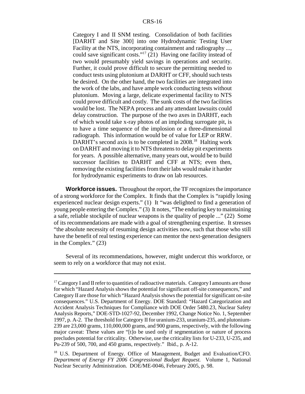Category I and II SNM testing. Consolidation of both facilities [DARHT and Site 300] into one Hydrodynamic Testing User Facility at the NTS, incorporating containment and radiography ..., could save significant costs."17 (21) Having one facility instead of two would presumably yield savings in operations and security. Further, it could prove difficult to secure the permitting needed to conduct tests using plutonium at DARHT or CFF, should such tests be desired. On the other hand, the two facilities are integrated into the work of the labs, and have ample work conducting tests without plutonium. Moving a large, delicate experimental facility to NTS could prove difficult and costly. The sunk costs of the two facilities would be lost. The NEPA process and any attendant lawsuits could delay construction. The purpose of the two axes in DARHT, each of which would take x-ray photos of an imploding surrogate pit, is to have a time sequence of the implosion or a three-dimensional radiograph. This information would be of value for LEP or RRW. DARHT's second axis is to be completed in 2008.<sup>18</sup> Halting work on DARHT and moving it to NTS threatens to delay pit experiments for years. A possible alternative, many years out, would be to build successor facilities to DARHT and CFF at NTS; even then, removing the existing facilities from their labs would make it harder for hydrodynamic experiments to draw on lab resources.

**Workforce issues.** Throughout the report, the TF recognizes the importance of a strong workforce for the Complex. It finds that the Complex is "rapidly losing experienced nuclear design experts." (1) It "was delighted to find a generation of young people entering the Complex." (3) It notes, "The enduring key to maintaining a safe, reliable stockpile of nuclear weapons is the quality of people ..." (22) Some of its recommendations are made with a goal of strengthening expertise. It stresses "the absolute necessity of resuming design activities now, such that those who still have the benefit of real testing experience can mentor the next-generation designers in the Complex." (23)

Several of its recommendations, however, might undercut this workforce, or seem to rely on a workforce that may not exist.

<sup>&</sup>lt;sup>17</sup> Category I and II refer to quantities of radioactive materials. Category I amounts are those for which "Hazard Analysis shows the potential for significant off-site consequences," and Category II are those for which "Hazard Analysis shows the potential for significant on-site consequences." U.S. Department of Energy. DOE Standard: "Hazard Categorization and Accident Analysis Techniques for Compliance with DOE Order 5480.23, Nuclear Safety Analysis Reports," DOE-STD-1027-92, December 1992, Change Notice No. 1, September 1997, p. A-2. The threshold for Category II for uranium-233, uranium-235, and plutonium-239 are 23,000 grams, 110,000,000 grams, and 900 grams, respectively, with the following major caveat: These values are "[t]o be used only if segmentation or nature of process precludes potential for criticality. Otherwise, use the criticality lists for U-233, U-235, and Pu-239 of 500, 700, and 450 grams, respectively." Ibid., p. A-12.

<sup>&</sup>lt;sup>18</sup> U.S. Department of Energy. Office of Management, Budget and Evaluation/CFO. *Department of Energy FY 2006 Congressional Budget Request.* Volume 1, National Nuclear Security Administration. DOE/ME-0046, February 2005, p. 98.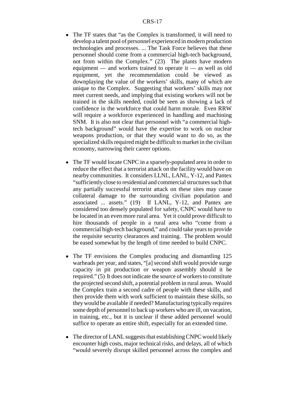- The TF states that "as the Complex is transformed, it will need to develop a talent pool of personnel experienced in modern production technologies and processes. ... The Task Force believes that these personnel should come from a commercial high-tech background, not from within the Complex." (23) The plants have modern equipment — and workers trained to operate it — as well as old equipment, yet the recommendation could be viewed as downplaying the value of the workers' skills, many of which are unique to the Complex. Suggesting that workers' skills may not meet current needs, and implying that existing workers will not be trained in the skills needed, could be seen as showing a lack of confidence in the workforce that could harm morale. Even RRW will require a workforce experienced in handling and machining SNM. It is also not clear that personnel with "a commercial hightech background" would have the expertise to work on nuclear weapons production, or that they would want to do so, as the specialized skills required might be difficult to market in the civilian economy, narrowing their career options.
- The TF would locate CNPC in a sparsely-populated area in order to reduce the effect that a terrorist attack on the facility would have on nearby communities. It considers LLNL, LANL, Y-12, and Pantex "sufficiently close to residential and commercial structures such that any partially successful terrorist attack on these sites may cause collateral damage to the surrounding civilian population and associated ... assets." (19) If LANL, Y-12, and Pantex are considered too densely populated for safety, CNPC would have to be located in an even more rural area. Yet it could prove difficult to hire thousands of people in a rural area who "come from a commercial high-tech background," and could take years to provide the requisite security clearances and training. The problem would be eased somewhat by the length of time needed to build CNPC.
- The TF envisions the Complex producing and dismantling 125 warheads per year, and states, "[a] second shift would provide surge capacity in pit production or weapon assembly should it be required." (5) It does not indicate the source of workers to constitute the projected second shift, a potential problem in rural areas. Would the Complex train a second cadre of people with these skills, and then provide them with work sufficient to maintain these skills, so they would be available if needed? Manufacturing typically requires some depth of personnel to back up workers who are ill, on vacation, in training, etc., but it is unclear if these added personnel would suffice to operate an entire shift, especially for an extended time.
- The director of LANL suggests that establishing CNPC would likely encounter high costs, major technical risks, and delays, all of which "would severely disrupt skilled personnel across the complex and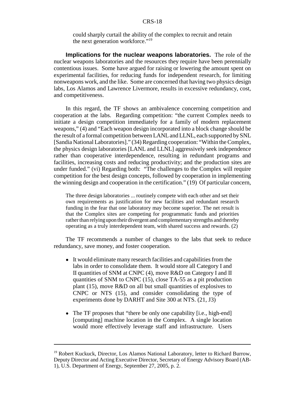could sharply curtail the ability of the complex to recruit and retain the next generation workforce."<sup>19</sup>

**Implications for the nuclear weapons laboratories.** The role of the nuclear weapons laboratories and the resources they require have been perennially contentious issues. Some have argued for raising or lowering the amount spent on experimental facilities, for reducing funds for independent research, for limiting nonweapons work, and the like. Some are concerned that having two physics design labs, Los Alamos and Lawrence Livermore, results in excessive redundancy, cost, and competitiveness.

In this regard, the TF shows an ambivalence concerning competition and cooperation at the labs. Regarding competition: "the current Complex needs to initiate a design competition immediately for a family of modern replacement weapons," (4) and "Each weapon design incorporated into a block change should be the result of a formal competition between LANL and LLNL, each supported by SNL [Sandia National Laboratories]." (34) Regarding cooperation: "Within the Complex, the physics design laboratories [LANL and LLNL] aggressively seek independence rather than cooperative interdependence, resulting in redundant programs and facilities, increasing costs and reducing productivity; and the production sites are under funded." (vi) Regarding both: "The challenges to the Complex will require competition for the best design concepts, followed by cooperation in implementing the winning design and cooperation in the certification." (19) Of particular concern,

The three design laboratories ... routinely compete with each other and set their own requirements as justification for new facilities and redundant research funding in the fear that one laboratory may become superior. The net result is that the Complex sites are competing for programmatic funds and priorities rather than relying upon their divergent and complementary strengths and thereby operating as a truly interdependent team, with shared success and rewards. (2)

The TF recommends a number of changes to the labs that seek to reduce redundancy, save money, and foster cooperation.

- It would eliminate many research facilities and capabilities from the labs in order to consolidate them. It would store all Category I and II quantities of SNM at CNPC (4), move R&D on Category I and II quantities of SNM to CNPC (15), close TA-55 as a pit production plant (15), move R&D on all but small quantities of explosives to CNPC or NTS (15), and consider consolidating the type of experiments done by DARHT and Site 300 at NTS. (21, J3)
- The TF proposes that "there be only one capability [i.e., high-end] [computing] machine location in the Complex. A single location would more effectively leverage staff and infrastructure. Users

<sup>&</sup>lt;sup>19</sup> Robert Kuckuck, Director, Los Alamos National Laboratory, letter to Richard Burrow, Deputy Director and Acting Executive Director, Secretary of Energy Advisory Board (AB-1), U.S. Department of Energy, September 27, 2005, p. 2.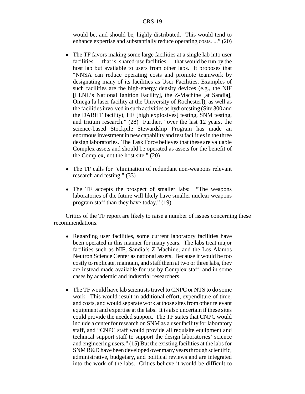would be, and should be, highly distributed. This would tend to enhance expertise and substantially reduce operating costs. ..." (20)

- The TF favors making some large facilities at a single lab into user facilities — that is, shared-use facilities — that would be run by the host lab but available to users from other labs. It proposes that "NNSA can reduce operating costs and promote teamwork by designating many of its facilities as User Facilities. Examples of such facilities are the high-energy density devices (e.g., the NIF [LLNL's National Ignition Facility], the Z-Machine [at Sandia], Omega [a laser facility at the University of Rochester]), as well as the facilities involved in such activities as hydrotesting (Site 300 and the DARHT facility), HE [high explosives] testing, SNM testing, and tritium research." (28) Further, "over the last 12 years, the science-based Stockpile Stewardship Program has made an enormous investment in new capability and test facilities in the three design laboratories. The Task Force believes that these are valuable Complex assets and should be operated as assets for the benefit of the Complex, not the host site." (20)
- ! The TF calls for "elimination of redundant non-weapons relevant research and testing." (33)
- The TF accepts the prospect of smaller labs: "The weapons" laboratories of the future will likely have smaller nuclear weapons program staff than they have today." (19)

Critics of the TF report are likely to raise a number of issues concerning these recommendations.

- Regarding user facilities, some current laboratory facilities have been operated in this manner for many years. The labs treat major facilities such as NIF, Sandia's Z Machine, and the Los Alamos Neutron Science Center as national assets. Because it would be too costly to replicate, maintain, and staff them at two or three labs, they are instead made available for use by Complex staff, and in some cases by academic and industrial researchers.
- The TF would have lab scientists travel to CNPC or NTS to do some work. This would result in additional effort, expenditure of time, and costs, and would separate work at those sites from other relevant equipment and expertise at the labs. It is also uncertain if these sites could provide the needed support. The TF states that CNPC would include a center for research on SNM as a user facility for laboratory staff, and "CNPC staff would provide all requisite equipment and technical support staff to support the design laboratories' science and engineering users." (15) But the existing facilities at the labs for SNM R&D have been developed over many years through scientific, administrative, budgetary, and political reviews and are integrated into the work of the labs. Critics believe it would be difficult to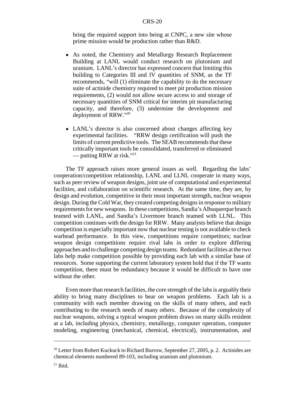bring the required support into being at CNPC, a new site whose prime mission would be production rather than R&D.

- As noted, the Chemistry and Metallurgy Research Replacement Building at LANL would conduct research on plutonium and uranium. LANL's director has expressed concern that limiting this building to Categories III and IV quantities of SNM, as the TF recommends, "will (1) eliminate the capability to do the necessary suite of actinide chemistry required to meet pit production mission requirements, (2) would not allow secure access to and storage of necessary quantities of SNM critical for interim pit manufacturing capacity, and therefore, (3) undermine the development and deployment of RRW."20
- LANL's director is also concerned about changes affecting key experimental facilities. "RRW design certification will push the limits of current predictive tools. The SEAB recommends that these critically important tools be consolidated, transferred or eliminated — putting RRW at risk." $^{21}$

The TF approach raises more general issues as well. Regarding the labs' cooperation/competition relationship, LANL and LLNL cooperate in many ways, such as peer review of weapon designs, joint use of computational and experimental facilities, and collaboration on scientific research. At the same time, they are, by design and evolution, competitive in their most important strength, nuclear weapon design. During the Cold War, they created competing designs in response to military requirements for new weapons. In these competitions, Sandia's Albuquerque branch teamed with LANL, and Sandia's Livermore branch teamed with LLNL. This competition continues with the design for RRW. Many analysts believe that design competition is especially important now that nuclear testing is not available to check warhead performance. In this view, competitions require competitors; nuclear weapon design competitions require rival labs in order to explore differing approaches and to challenge competing design teams. Redundant facilities at the two labs help make competition possible by providing each lab with a similar base of resources. Some supporting the current laboratory system hold that if the TF wants competition, there must be redundancy because it would be difficult to have one without the other.

Even more than research facilities, the core strength of the labs is arguably their ability to bring many disciplines to bear on weapon problems. Each lab is a community with each member drawing on the skills of many others, and each contributing to the research needs of many others. Because of the complexity of nuclear weapons, solving a typical weapon problem draws on many skills resident at a lab, including physics, chemistry, metallurgy, computer operation, computer modeling, engineering (mechanical, chemical, electrical), instrumentation, and

<sup>&</sup>lt;sup>20</sup> Letter from Robert Kuckuck to Richard Burrow, September 27, 2005, p. 2. Actinides are chemical elements numbered 89-103, including uranium and plutonium.

 $21$  Ibid.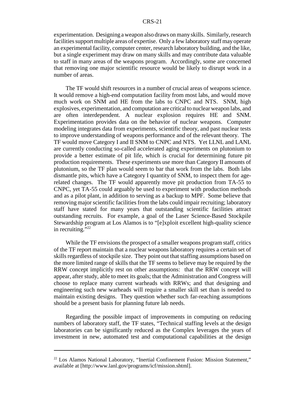experimentation. Designing a weapon also draws on many skills. Similarly, research facilities support multiple areas of expertise. Only a few laboratory staff may operate an experimental facility, computer center, research laboratory building, and the like, but a single experiment may draw on many skills and may contribute data valuable to staff in many areas of the weapons program. Accordingly, some are concerned that removing one major scientific resource would be likely to disrupt work in a number of areas.

The TF would shift resources in a number of crucial areas of weapons science. It would remove a high-end computation facility from most labs, and would move much work on SNM and HE from the labs to CNPC and NTS. SNM, high explosives, experimentation, and computation are critical to nuclear weapon labs, and are often interdependent. A nuclear explosion requires HE and SNM. Experimentation provides data on the behavior of nuclear weapons. Computer modeling integrates data from experiments, scientific theory, and past nuclear tests to improve understanding of weapons performance and of the relevant theory. The TF would move Category I and II SNM to CNPC and NTS. Yet LLNL and LANL are currently conducting so-called accelerated aging experiments on plutonium to provide a better estimate of pit life, which is crucial for determining future pit production requirements. These experiments use more than Category II amounts of plutonium, so the TF plan would seem to bar that work from the labs. Both labs dismantle pits, which have a Category I quantity of SNM, to inspect them for agerelated changes. The TF would apparently move pit production from TA-55 to CNPC, yet TA-55 could arguably be used to experiment with production methods and as a pilot plant, in addition to serving as a backup to MPF. Some believe that removing major scientific facilities from the labs could impair recruiting; laboratory staff have stated for many years that outstanding scientific facilities attract outstanding recruits. For example, a goal of the Laser Science-Based Stockpile Stewardship program at Los Alamos is to "[e]xploit excellent high-quality science in recruiting." $^{22}$ 

While the TF envisions the prospect of a smaller weapons program staff, critics of the TF report maintain that a nuclear weapons laboratory requires a certain set of skills regardless of stockpile size. They point out that staffing assumptions based on the more limited range of skills that the TF seems to believe may be required by the RRW concept implicitly rest on other assumptions: that the RRW concept will appear, after study, able to meet its goals; that the Administration and Congress will choose to replace many current warheads with RRWs; and that designing and engineering such new warheads will require a smaller skill set than is needed to maintain existing designs. They question whether such far-reaching assumptions should be a present basis for planning future lab needs.

Regarding the possible impact of improvements in computing on reducing numbers of laboratory staff, the TF states, "Technical staffing levels at the design laboratories can be significantly reduced as the Complex leverages the years of investment in new, automated test and computational capabilities at the design

<sup>22</sup> Los Alamos National Laboratory, "Inertial Confinement Fusion: Mission Statement," available at [http://www.lanl.gov/programs/icf/mission.shtml].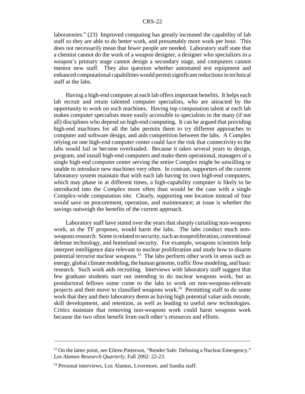laboratories." (23) Improved computing has greatly increased the capability of lab staff so they are able to do better work, and presumably more work per hour. This does not necessarily mean that fewer people are needed. Laboratory staff state that a chemist cannot do the work of a weapon designer, a designer who specializes in a weapon's primary stage cannot design a secondary stage, and computers cannot mentor new staff. They also question whether automated test equipment and enhanced computational capabilities would permit significant reductions in technical staff at the labs.

Having a high-end computer at each lab offers important benefits. It helps each lab recruit and retain talented computer specialists, who are attracted by the opportunity to work on such machines. Having top computation talent at each lab makes computer specialists more easily accessible to specialists in the many (if not all) disciplines who depend on high-end computing. It can be argued that providing high-end machines for all the labs permits them to try different approaches to computer and software design, and aids competition between the labs. A Complex relying on one high-end computer center could face the risk that connectivity to the labs would fail or become overloaded. Because it takes several years to design, program, and install high-end computers and make them operational, managers of a single high-end computer center serving the entire Complex might be unwilling or unable to introduce new machines very often. In contrast, supporters of the current laboratory system maintain that with each lab having its own high-end computers, which may phase in at different times, a high-capability computer is likely to be introduced into the Complex more often than would be the case with a single Complex-wide computation site. Clearly, supporting one location instead of four would save on procurement, operation, and maintenance; at issue is whether the savings outweigh the benefits of the current approach.

Laboratory staff have stated over the years that sharply curtailing non-weapons work, as the TF proposes, would harm the labs. The labs conduct much nonweapons research. Some is related to security, such as nonproliferation, conventional defense technology, and homeland security. For example, weapons scientists help interpret intelligence data relevant to nuclear proliferation and study how to disarm potential terrorist nuclear weapons.23 The labs perform other work in areas such as energy, global climate modeling, the human genome, traffic flow modeling, and basic research. Such work aids recruiting. Interviews with laboratory staff suggest that few graduate students start out intending to do nuclear weapons work, but as postdoctoral fellows some come to the labs to work on non-weapons-relevant projects and then move to classified weapons work.<sup>24</sup> Permitting staff to do some work that they and their laboratory deem as having high potential value aids morale, skill development, and retention, as well as leading to useful new technologies. Critics maintain that removing non-weapons work could harm weapons work because the two often benefit from each other's resources and efforts.

<sup>&</sup>lt;sup>23</sup> On the latter point, see Eileen Patterson, "Render Safe: Defusing a Nuclear Emergency," *Los Alamos Research Quarterly,* Fall 2002: 22-23.

<sup>&</sup>lt;sup>24</sup> Personal interviews, Los Alamos, Livermore, and Sandia staff.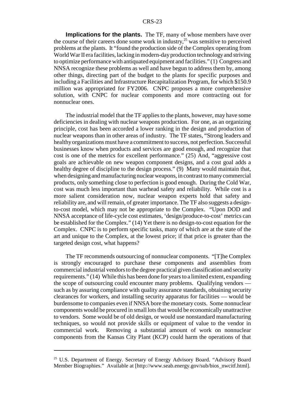**Implications for the plants.** The TF, many of whose members have over the course of their careers done some work in industry,<sup>25</sup> was sensitive to perceived problems at the plants. It "found the production side of the Complex operating from World War II era facilities, lacking in modern-day production technology and striving to optimize performance with antiquated equipment and facilities." (1) Congress and NNSA recognize these problems as well and have begun to address them by, among other things, directing part of the budget to the plants for specific purposes and including a Facilities and Infrastructure Recapitalization Program, for which \$150.9 million was appropriated for FY2006. CNPC proposes a more comprehensive solution, with CNPC for nuclear components and more contracting out for nonnuclear ones.

The industrial model that the TF applies to the plants, however, may have some deficiencies in dealing with nuclear weapons production. For one, as an organizing principle, cost has been accorded a lower ranking in the design and production of nuclear weapons than in other areas of industry. The TF states, "Strong leaders and healthy organizations must have a commitment to success, not perfection. Successful businesses know when products and services are good enough, and recognize that cost is one of the metrics for excellent performance." (25) And, "aggressive cost goals are achievable on new weapon component designs, and a cost goal adds a healthy degree of discipline to the design process." (9) Many would maintain that, when designing and manufacturing nuclear weapons, in contrast to many commercial products, only something close to perfection is good enough. During the Cold War, cost was much less important than warhead safety and reliability. While cost is a more salient consideration now, nuclear weapon experts hold that safety and reliability are, and will remain, of greater importance. The TF also suggests a designto-cost model, which may not be appropriate to the Complex. "Upon DOD and NNSA acceptance of life-cycle cost estimates, 'design/produce-to-cost' metrics can be established for the Complex." (14) Yet there is no design-to-cost equation for the Complex. CNPC is to perform specific tasks, many of which are at the state of the art and unique to the Complex, at the lowest price; if that price is greater than the targeted design cost, what happens?

The TF recommends outsourcing of nonnuclear components. "[T]he Complex is strongly encouraged to purchase these components and assemblies from commercial industrial vendors to the degree practical given classification and security requirements." (14) While this has been done for years to a limited extent, expanding the scope of outsourcing could encounter many problems. Qualifying vendors such as by assuring compliance with quality assurance standards, obtaining security clearances for workers, and installing security apparatus for facilities — would be burdensome to companies even if NNSA bore the monetary costs. Some nonnuclear components would be procured in small lots that would be economically unattractive to vendors. Some would be of old design, or would use nonstandard manufacturing techniques, so would not provide skills or equipment of value to the vendor in commercial work. Removing a substantial amount of work on nonnuclear components from the Kansas City Plant (KCP) could harm the operations of that

<sup>&</sup>lt;sup>25</sup> U.S. Department of Energy. Secretary of Energy Advisory Board. "Advisory Board" Member Biographies." Available at [http://www.seab.energy.gov/sub/bios\_nwcitf.html].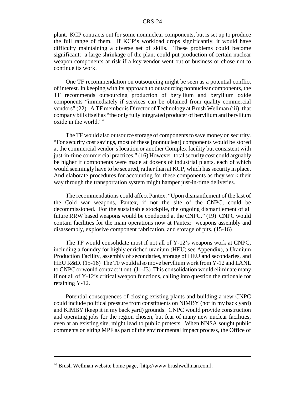plant. KCP contracts out for some nonnuclear components, but is set up to produce the full range of them. If KCP's workload drops significantly, it would have difficulty maintaining a diverse set of skills. These problems could become significant: a large shrinkage of the plant could put production of certain nuclear weapon components at risk if a key vendor went out of business or chose not to continue its work.

One TF recommendation on outsourcing might be seen as a potential conflict of interest. In keeping with its approach to outsourcing nonnuclear components, the TF recommends outsourcing production of beryllium and beryllium oxide components "immediately if services can be obtained from quality commercial vendors" (22). A TF member is Director of Technology at Brush Wellman (iii); that company bills itself as "the only fully integrated producer of beryllium and beryllium oxide in the world."26

The TF would also outsource storage of components to save money on security. "For security cost savings, most of these [nonnuclear] components would be stored at the commercial vendor's location or another Complex facility but consistent with just-in-time commercial practices." (16) However, total security cost could arguably be higher if components were made at dozens of industrial plants, each of which would seemingly have to be secured, rather than at KCP, which has security in place. And elaborate procedures for accounting for these components as they work their way through the transportation system might hamper just-in-time deliveries.

The recommendations could affect Pantex. "Upon dismantlement of the last of the Cold war weapons, Pantex, if not the site of the CNPC, could be decommissioned. For the sustainable stockpile, the ongoing dismantlement of all future RRW based weapons would be conducted at the CNPC." (19) CNPC would contain facilities for the main operations now at Pantex: weapons assembly and disassembly, explosive component fabrication, and storage of pits. (15-16)

The TF would consolidate most if not all of Y-12's weapons work at CNPC, including a foundry for highly enriched uranium (HEU; see Appendix), a Uranium Production Facility, assembly of secondaries, storage of HEU and secondaries, and HEU R&D. (15-16) The TF would also move beryllium work from Y-12 and LANL to CNPC or would contract it out. (J1-J3) This consolidation would eliminate many if not all of Y-12's critical weapon functions, calling into question the rationale for retaining Y-12.

Potential consequences of closing existing plants and building a new CNPC could include political pressure from constituents on NIMBY (not in my back yard) and KIMBY (keep it in my back yard) grounds. CNPC would provide construction and operating jobs for the region chosen, but fear of many new nuclear facilities, even at an existing site, might lead to public protests. When NNSA sought public comments on siting MPF as part of the environmental impact process, the Office of

<sup>26</sup> Brush Wellman website home page, [http://www.brushwellman.com].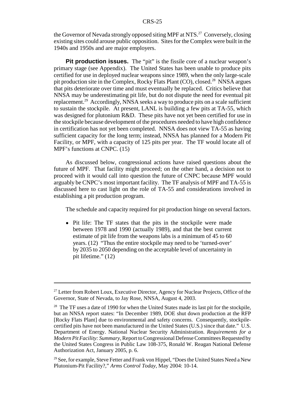the Governor of Nevada strongly opposed siting MPF at NTS.<sup>27</sup> Conversely, closing existing sites could arouse public opposition. Sites for the Complex were built in the 1940s and 1950s and are major employers.

**Pit production issues.** The "pit" is the fissile core of a nuclear weapon's primary stage (see Appendix). The United States has been unable to produce pits certified for use in deployed nuclear weapons since 1989, when the only large-scale pit production site in the Complex, Rocky Flats Plant (CO), closed.<sup>28</sup> NNSA argues that pits deteriorate over time and must eventually be replaced. Critics believe that NNSA may be underestimating pit life, but do not dispute the need for eventual pit replacement.29 Accordingly, NNSA seeks a way to produce pits on a scale sufficient to sustain the stockpile. At present, LANL is building a few pits at TA-55, which was designed for plutonium R&D. These pits have not yet been certified for use in the stockpile because development of the procedures needed to have high confidence in certification has not yet been completed. NNSA does not view TA-55 as having sufficient capacity for the long term; instead, NNSA has planned for a Modern Pit Facility, or MPF, with a capacity of 125 pits per year. The TF would locate all of MPF's functions at CNPC. (15)

As discussed below, congressional actions have raised questions about the future of MPF. That facility might proceed; on the other hand, a decision not to proceed with it would call into question the future of CNPC because MPF would arguably be CNPC's most important facility. The TF analysis of MPF and TA-55 is discussed here to cast light on the role of TA-55 and considerations involved in establishing a pit production program.

The schedule and capacity required for pit production hinge on several factors.

• Pit life: The TF states that the pits in the stockpile were made between 1978 and 1990 (actually 1989), and that the best current estimate of pit life from the weapons labs is a minimum of 45 to 60 years. (12) "Thus the entire stockpile may need to be 'turned-over' by 2035 to 2050 depending on the acceptable level of uncertainty in pit lifetime." (12)

<sup>&</sup>lt;sup>27</sup> Letter from Robert Loux, Executive Director, Agency for Nuclear Projects, Office of the Governor, State of Nevada, to Jay Rose, NNSA, August 4, 2003.

 $28$  The TF uses a date of 1990 for when the United States made its last pit for the stockpile, but an NNSA report states: "In December 1989, DOE shut down production at the RFP [Rocky Flats Plant] due to environmental and safety concerns. Consequently, stockpilecertified pits have not been manufactured in the United States (U.S.) since that date." U.S. Department of Energy. National Nuclear Security Administration. *Requirements for a Modern Pit Facility: Summary,* Report to Congressional Defense Committees Requested by the United States Congress in Public Law 108-375, Ronald W. Reagan National Defense Authorization Act, January 2005, p. 6.

<sup>&</sup>lt;sup>29</sup> See, for example, Steve Fetter and Frank von Hippel, "Does the United States Need a New Plutonium-Pit Facility?," *Arms Control Today,* May 2004: 10-14.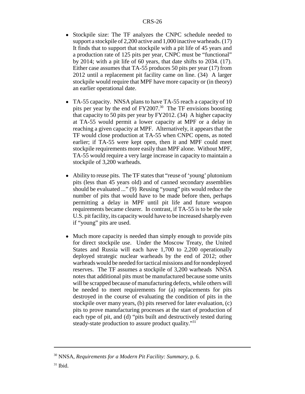- Stockpile size: The TF analyzes the CNPC schedule needed to support a stockpile of 2,200 active and 1,000 inactive warheads. (17) It finds that to support that stockpile with a pit life of 45 years and a production rate of 125 pits per year, CNPC must be "functional" by 2014; with a pit life of 60 years, that date shifts to 2034. (17). Either case assumes that TA-55 produces 50 pits per year (17) from 2012 until a replacement pit facility came on line. (34) A larger stockpile would require that MPF have more capacity or (in theory) an earlier operational date.
- TA-55 capacity. NNSA plans to have TA-55 reach a capacity of 10 pits per year by the end of  $FY2007<sup>30</sup>$ . The TF envisions boosting that capacity to 50 pits per year by FY2012. (34) A higher capacity at TA-55 would permit a lower capacity at MPF or a delay in reaching a given capacity at MPF. Alternatively, it appears that the TF would close production at TA-55 when CNPC opens, as noted earlier; if TA-55 were kept open, then it and MPF could meet stockpile requirements more easily than MPF alone. Without MPF, TA-55 would require a very large increase in capacity to maintain a stockpile of 3,200 warheads.
- Ability to reuse pits. The TF states that "reuse of 'young' plutonium pits (less than 45 years old) and of canned secondary assemblies should be evaluated ..." (9) Reusing "young" pits would reduce the number of pits that would have to be made before then, perhaps permitting a delay in MPF until pit life and future weapon requirements became clearer. In contrast, if TA-55 is to be the sole U.S. pit facility, its capacity would have to be increased sharply even if "young" pits are used.
- Much more capacity is needed than simply enough to provide pits for direct stockpile use. Under the Moscow Treaty, the United States and Russia will each have 1,700 to 2,200 operationally deployed strategic nuclear warheads by the end of 2012; other warheads would be needed for tactical missions and for nondeployed reserves. The TF assumes a stockpile of 3,200 warheads NNSA notes that additional pits must be manufactured because some units will be scrapped because of manufacturing defects, while others will be needed to meet requirements for (a) replacements for pits destroyed in the course of evaluating the condition of pits in the stockpile over many years, (b) pits reserved for later evaluation, (c) pits to prove manufacturing processes at the start of production of each type of pit, and (d) "pits built and destructively tested during steady-state production to assure product quality."<sup>31</sup>

<sup>30</sup> NNSA, *Requirements for a Modern Pit Facility: Summary,* p. 6.

 $31$  Ibid.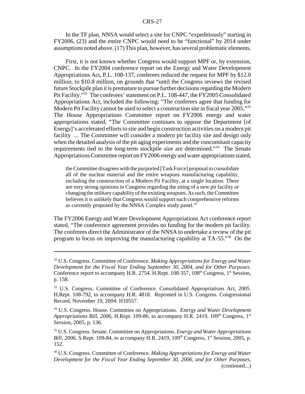In the TF plan, NNSA would select a site for CNPC "expeditiously" starting in FY2006, (23) and the entire CNPC would need to be "functional" by 2014 under assumptions noted above. (17) This plan, however, has several problematic elements.

First, it is not known whether Congress would support MPF or, by extension, CNPC. In the FY2004 conference report on the Energy and Water Development Appropriations Act, P.L. 108-137, conferees reduced the request for MPF by \$12.0 million, to \$10.8 million, on grounds that "until the Congress reviews the revised future Stockpile plan it is premature to pursue further decisions regarding the Modern Pit Facility."32 The conferees' statement on P.L. 108-447, the FY2005 Consolidated Appropriations Act, included the following: "The conferees agree that funding for Modern Pit Facility cannot be used to select a construction site in fiscal year 2005."<sup>33</sup> The House Appropriations Committee report on FY2006 energy and water appropriations stated, "The Committee continues to oppose the Department [of Energy]'s accelerated efforts to site and begin construction activities on a modern pit facility ... The Committee will consider a modern pit facility site and design only when the detailed analysis of the pit aging experiments and the concomitant capacity requirements tied to the long-term stockpile size are determined."34 The Senate Appropriations Committee report on FY2006 energy and water appropriations stated,

the Committee disagrees with the purported [Task Force] proposal to consolidate all of the nuclear material and the entire weapons manufacturing capability, including the construction of a Modern Pit Facility, at a single location. There are very strong opinions in Congress regarding the siting of a new pit facility or changing the military capability of the existing weapons. As such, the Committee believes it is unlikely that Congress would support such comprehensive reforms as currently proposed by the NNSA Complex study panel.<sup>35</sup>

The FY2006 Energy and Water Development Appropriations Act conference report stated, "The conference agreement provides no funding for the modern pit facility. The conferees direct the Administrator of the NNSA to undertake a review of the pit program to focus on improving the manufacturing capability at TA-55."36 On the

<sup>32</sup> U.S. Congress. Committee of Conference. *Making Appropriations for Energy and Water Development for the Fiscal Year Ending September 30, 2004, and for Other Purposes.* Conference report to accompany H.R. 2754. H.Rept.  $108-357$ ,  $108<sup>th</sup>$  Congress,  $1<sup>st</sup>$  Session, p. 158.

<sup>&</sup>lt;sup>33</sup> U.S. Congress. Committee of Conference. Consolidated Appropriations Act, 2005. H.Rept. 108-792, to accompany H.R. 4818. Reprinted in U.S. Congress. Congressional Record, November 19, 2004: H10557.

<sup>34</sup> U.S. Congress. House. Committee on Appropriations. *Energy and Water Development Appropriations Bill, 2006, H.Rept. 109-86, to accompany H.R. 2419, 109<sup>th</sup> Congress, 1<sup>st</sup>* Session, 2005, p. 136.

<sup>35</sup> U.S. Congress. Senate. Committee on Appropriations. *Energy and Water Appropriations Bill, 2006, S.Rept. 109-84, to accompany H.R. 2419, 109<sup>th</sup> Congress, 1<sup>st</sup> Session, 2005, p.* 152.

<sup>36</sup> U.S. Congress. Committee of Conference. *Making Appropriations for Energy and Water Development for the Fiscal Year Ending September 30, 2006, and for Other Purposes,* (continued...)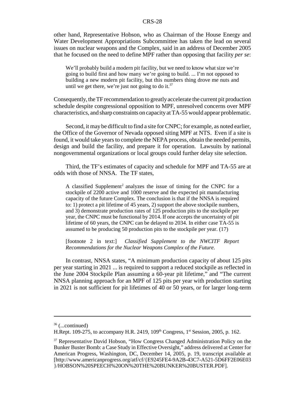other hand, Representative Hobson, who as Chairman of the House Energy and Water Development Appropriations Subcommittee has taken the lead on several issues on nuclear weapons and the Complex, said in an address of December 2005 that he focused on the need to define MPF rather than opposing that facility *per se*:

We'll probably build a modern pit facility, but we need to know what size we're going to build first and how many we're going to build. ... I'm not opposed to building a new modern pit facility, but this numbers thing drove me nuts and until we get there, we're just not going to do it.<sup>37</sup>

Consequently, the TF recommendation to greatly accelerate the current pit production schedule despite congressional opposition to MPF, unresolved concerns over MPF characteristics, and sharp constraints on capacity at TA-55 would appear problematic.

Second, it may be difficult to find a site for CNPC; for example, as noted earlier, the Office of the Governor of Nevada opposed siting MPF at NTS. Even if a site is found, it would take years to complete the NEPA process, obtain the needed permits, design and build the facility, and prepare it for operation. Lawsuits by national nongovernmental organizations or local groups could further delay site selection.

Third, the TF's estimates of capacity and schedule for MPF and TA-55 are at odds with those of NNSA. The TF states,

A classified Supplement<sup>2</sup> analyzes the issue of timing for the CNPC for a stockpile of 2200 active and 1000 reserve and the expected pit manufacturing capacity of the future Complex. The conclusion is that if the NNSA is required to: 1) protect a pit lifetime of 45 years, 2) support the above stockpile numbers, and 3) demonstrate production rates of 125 production pits to the stockpile per year, the CNPC must be functional by 2014. If one accepts the uncertainty of pit lifetime of 60 years, the CNPC can be delayed to 2034. In either case TA-55 is assumed to be producing 50 production pits to the stockpile per year. (17)

[footnote 2 in text:] *Classified Supplement to the NWCITF Report Recommendations for the Nuclear Weapons Complex of the Future*.

In contrast, NNSA states, "A minimum production capacity of about 125 pits per year starting in 2021 ... is required to support a reduced stockpile as reflected in the June 2004 Stockpile Plan assuming a 60-year pit lifetime," and "The current NNSA planning approach for an MPF of 125 pits per year with production starting in 2021 is not sufficient for pit lifetimes of 40 or 50 years, or for larger long-term

 $36$  (...continued)

H.Rept. 109-275, to accompany H.R. 2419,  $109<sup>th</sup>$  Congress,  $1<sup>st</sup>$  Session, 2005, p. 162.

<sup>&</sup>lt;sup>37</sup> Representative David Hobson, "How Congress Changed Administration Policy on the Bunker Buster Bomb: a Case Study in Effective Oversight," address delivered at Center for American Progress, Washington, DC, December 14, 2005, p. 19, transcript available at [http://www.americanprogress.org/atf/cf/{E9245FE4-9A2B-43C7-A521-5D6FF2E06E03 }/HOBSON%20SPEECH%20ON%20THE%20BUNKER%20BUSTER.PDF].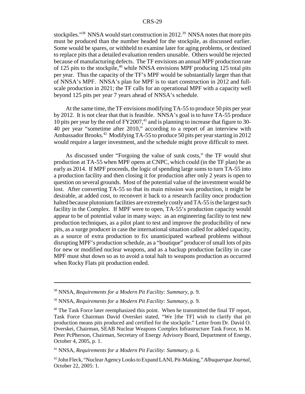stockpiles."<sup>38</sup> NNSA would start construction in 2012.<sup>39</sup> NNSA notes that more pits must be produced than the number headed for the stockpile, as discussed earlier. Some would be spares, or withheld to examine later for aging problems, or destined to replace pits that a detailed evaluation renders unusable. Others would be rejected because of manufacturing defects. The TF envisions an annual MPF production rate of 125 pits to the stockpile,<sup>40</sup> while NNSA envisions MPF producing 125 total pits per year. Thus the capacity of the TF's MPF would be substantially larger than that of NNSA's MPF. NNSA's plan for MPF is to start construction in 2012 and fullscale production in 2021; the TF calls for an operational MPF with a capacity well beyond 125 pits per year 7 years ahead of NNSA's schedule.

At the same time, the TF envisions modifying TA-55 to produce 50 pits per year by 2012. It is not clear that that is feasible. NNSA's goal is to have TA-55 produce 10 pits per year by the end of  $FY2007<sup>41</sup>$  and is planning to increase that figure to 30-40 per year "sometime after 2010," according to a report of an interview with Ambassador Brooks.<sup>42</sup> Modifying TA-55 to produce 50 pits per year starting in 2012 would require a larger investment, and the schedule might prove difficult to meet.

As discussed under "Forgoing the value of sunk costs," the TF would shut production at TA-55 when MPF opens at CNPC, which could (in the TF plan) be as early as 2014. If MPF proceeds, the logic of spending large sums to turn TA-55 into a production facility and then closing it for production after only 2 years is open to question on several grounds. Most of the potential value of the investment would be lost. After converting TA-55 so that its main mission was production, it might be desirable, at added cost, to reconvert it back to a research facility once production halted because plutonium facilities are extremely costly and TA-55 is the largest such facility in the Complex. If MPF were to open, TA-55's production capacity would appear to be of potential value in many ways: as an engineering facility to test new production techniques, as a pilot plant to test and improve the producibility of new pits, as a surge producer in case the international situation called for added capacity, as a source of extra production to fix unanticipated warhead problems without disrupting MPF's production schedule, as a "boutique" producer of small lots of pits for new or modified nuclear weapons, and as a backup production facility in case MPF must shut down so as to avoid a total halt to weapons production as occurred when Rocky Flats pit production ended.

<sup>38</sup> NNSA, *Requirements for a Modern Pit Facility: Summary,* p. 9.

<sup>39</sup> NNSA, *Requirements for a Modern Pit Facility: Summary,* p. 9.

<sup>&</sup>lt;sup>40</sup> The Task Force later reemphasized this point. When he transmitted the final TF report, Task Force Chairman David Overskei stated, "We [the TF] wish to clarify that pit production means pits produced and certified for the stockpile." Letter from Dr. David O. Overskei, Chairman, SEAB Nuclear Weapons Complex Infrastructure Task Force, to M. Peter PcPherson, Chairman, Secretary of Energy Advisory Board, Department of Energy, October 4, 2005, p. 1.

<sup>41</sup> NNSA, *Requirements for a Modern Pit Facility: Summary,* p. 6.

<sup>42</sup> John Fleck, "Nuclear Agency Looks to Expand LANL Pit-Making," *Albuquerque Journal,* October 22, 2005: 1.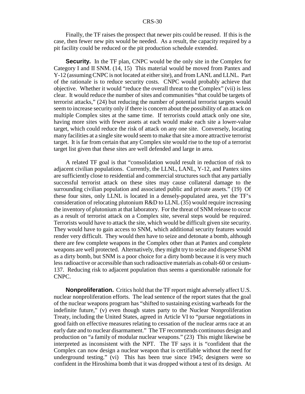Finally, the TF raises the prospect that newer pits could be reused. If this is the case, then fewer new pits would be needed. As a result, the capacity required by a pit facility could be reduced or the pit production schedule extended.

**Security.** In the TF plan, CNPC would be the only site in the Complex for Category I and II SNM. (14, 15) This material would be moved from Pantex and Y-12 (assuming CNPC is not located at either site), and from LANL and LLNL. Part of the rationale is to reduce security costs. CNPC would probably achieve that objective. Whether it would "reduce the overall threat to the Complex" (vii) is less clear. It would reduce the number of sites and communities "that could be targets of terrorist attacks," (24) but reducing the number of potential terrorist targets would seem to increase security only if there is concern about the possibility of an attack on multiple Complex sites at the same time. If terrorists could attack only one site, having more sites with fewer assets at each would make each site a lower-value target, which could reduce the risk of attack on any one site. Conversely, locating many facilities at a single site would seem to make that site a more attractive terrorist target. It is far from certain that any Complex site would rise to the top of a terrorist target list given that these sites are well defended and large in area.

A related TF goal is that "consolidation would result in reduction of risk to adjacent civilian populations. Currently, the LLNL, LANL, Y-12, and Pantex sites are sufficiently close to residential and commercial structures such that any partially successful terrorist attack on these sites may cause collateral damage to the surrounding civilian population and associated public and private assets." (19) Of these four sites, only LLNL is located in a densely-populated area, yet the TF's consideration of relocating plutonium R&D to LLNL (35) would require increasing the inventory of plutonium at that laboratory. For the threat of SNM release to occur as a result of terrorist attack on a Complex site, several steps would be required. Terrorists would have to attack the site, which would be difficult given site security. They would have to gain access to SNM, which additional security features would render very difficult. They would then have to seize and detonate a bomb, although there are few complete weapons in the Complex other than at Pantex and complete weapons are well protected. Alternatively, they might try to seize and disperse SNM as a dirty bomb, but SNM is a poor choice for a dirty bomb because it is very much less radioactive or accessible than such radioactive materials as cobalt-60 or cesium-137. Reducing risk to adjacent population thus seems a questionable rationale for CNPC.

**Nonproliferation.** Critics hold that the TF report might adversely affect U.S. nuclear nonproliferation efforts. The lead sentence of the report states that the goal of the nuclear weapons program has "shifted to sustaining existing warheads for the indefinite future," (v) even though states party to the Nuclear Nonproliferation Treaty, including the United States, agreed in Article VI to "pursue negotiations in good faith on effective measures relating to cessation of the nuclear arms race at an early date and to nuclear disarmament." The TF recommends continuous design and production on "a family of modular nuclear weapons." (23) This might likewise be interpreted as inconsistent with the NPT. The TF says it is "confident that the Complex can now design a nuclear weapon that is certifiable without the need for underground testing." (vi) This has been true since 1945; designers were so confident in the Hiroshima bomb that it was dropped without a test of its design. At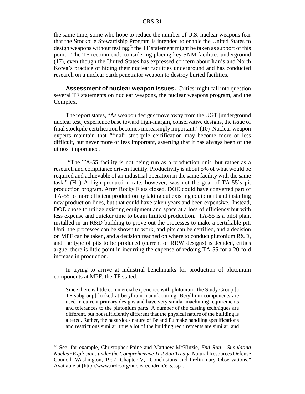the same time, some who hope to reduce the number of U.S. nuclear weapons fear that the Stockpile Stewardship Program is intended to enable the United States to design weapons without testing;<sup>43</sup> the TF statement might be taken as support of this point. The TF recommends considering placing key SNM facilities underground (17), even though the United States has expressed concern about Iran's and North Korea's practice of hiding their nuclear facilities underground and has conducted research on a nuclear earth penetrator weapon to destroy buried facilities.

**Assessment of nuclear weapon issues.** Critics might call into question several TF statements on nuclear weapons, the nuclear weapons program, and the Complex.

The report states, "As weapon designs move away from the UGT [underground nuclear test] experience base toward high-margin, conservative designs, the issue of final stockpile certification becomes increasingly important." (10) Nuclear weapon experts maintain that "final" stockpile certification may become more or less difficult, but never more or less important, asserting that it has always been of the utmost importance.

 "The TA-55 facility is not being run as a production unit, but rather as a research and compliance driven facility. Productivity is about 5% of what would be required and achievable of an industrial operation in the same facility with the same task." (H1) A high production rate, however, was not the goal of TA-55's pit production program. After Rocky Flats closed, DOE could have converted part of TA-55 to more efficient production by taking out existing equipment and installing new production lines, but that could have taken years and been expensive. Instead, DOE chose to utilize existing equipment and space at a loss of efficiency but with less expense and quicker time to begin limited production. TA-55 is a pilot plant installed in an R&D building to prove out the processes to make a certifiable pit. Until the processes can be shown to work, and pits can be certified, and a decision on MPF can be taken, and a decision reached on where to conduct plutonium R&D, and the type of pits to be produced (current or RRW designs) is decided, critics argue, there is little point in incurring the expense of redoing TA-55 for a 20-fold increase in production.

In trying to arrive at industrial benchmarks for production of plutonium components at MPF, the TF stated:

Since there is little commercial experience with plutonium, the Study Group [a TF subgroup] looked at beryllium manufacturing. Beryllium components are used in current primary designs and have very similar machining requirements and tolerances to the plutonium parts. A number of the casting techniques are different, but not sufficiently different that the physical nature of the building is altered. Rather, the hazardous nature of Be and Pu make handling specifications and restrictions similar, thus a lot of the building requirements are similar, and

<sup>43</sup> See, for example, Christopher Paine and Matthew McKinzie, *End Run: Simulating Nuclear Explosions under the Comprehensive Test Ban Treaty,* Natural Resources Defense Council, Washington, 1997, Chapter V, "Conclusions and Preliminary Observations." Available at [http://www.nrdc.org/nuclear/endrun/er5.asp].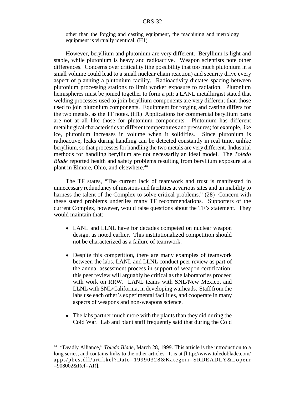other than the forging and casting equipment, the machining and metrology equipment is virtually identical. (H1)

However, beryllium and plutonium are very different. Beryllium is light and stable, while plutonium is heavy and radioactive. Weapon scientists note other differences. Concerns over criticality (the possibility that too much plutonium in a small volume could lead to a small nuclear chain reaction) and security drive every aspect of planning a plutonium facility. Radioactivity dictates spacing between plutonium processing stations to limit worker exposure to radiation. Plutonium hemispheres must be joined together to form a pit; a LANL metallurgist stated that welding processes used to join beryllium components are very different than those used to join plutonium components. Equipment for forging and casting differs for the two metals, as the TF notes. (H1) Applications for commercial beryllium parts are not at all like those for plutonium components. Plutonium has different metallurgical characteristics at different temperatures and pressures; for example, like ice, plutonium increases in volume when it solidifies. Since plutonium is radioactive, leaks during handling can be detected constantly in real time, unlike beryllium, so that processes for handling the two metals are very different. Industrial methods for handling beryllium are not necessarily an ideal model. The *Toledo Blade* reported health and safety problems resulting from beryllium exposure at a plant in Elmore, Ohio, and elsewhere.<sup>44</sup>

The TF states, "The current lack of teamwork and trust is manifested in unnecessary redundancy of missions and facilities at various sites and an inability to harness the talent of the Complex to solve critical problems." (28) Concern with these stated problems underlies many TF recommendations. Supporters of the current Complex, however, would raise questions about the TF's statement. They would maintain that:

- LANL and LLNL have for decades competed on nuclear weapon design, as noted earlier. This institutionalized competition should not be characterized as a failure of teamwork.
- Despite this competition, there are many examples of teamwork between the labs. LANL and LLNL conduct peer review as part of the annual assessment process in support of weapon certification; this peer review will arguably be critical as the laboratories proceed with work on RRW. LANL teams with SNL/New Mexico, and LLNL with SNL/California, in developing warheads. Staff from the labs use each other's experimental facilities, and cooperate in many aspects of weapons and non-weapons science.
- The labs partner much more with the plants than they did during the Cold War. Lab and plant staff frequently said that during the Cold

<sup>44 &</sup>quot;Deadly Alliance," *Toledo Blade,* March 28, 1999. This article is the introduction to a long series, and contains links to the other articles. It is at [http://www.toledoblade.com/ apps/pbcs.dll/artikkel?Dato=19990328&Kategori=SRDEADLY&Lopenr =908002&Ref=AR].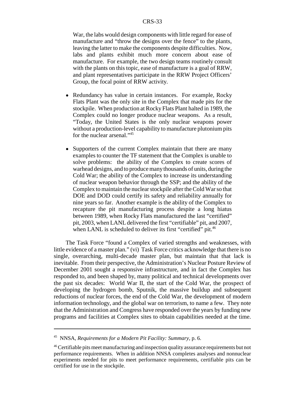War, the labs would design components with little regard for ease of manufacture and "throw the designs over the fence" to the plants, leaving the latter to make the components despite difficulties. Now, labs and plants exhibit much more concern about ease of manufacture. For example, the two design teams routinely consult with the plants on this topic, ease of manufacture is a goal of RRW, and plant representatives participate in the RRW Project Officers' Group, the focal point of RRW activity.

- Redundancy has value in certain instances. For example, Rocky Flats Plant was the only site in the Complex that made pits for the stockpile. When production at Rocky Flats Plant halted in 1989, the Complex could no longer produce nuclear weapons. As a result, "Today, the United States is the only nuclear weapons power without a production-level capability to manufacture plutonium pits for the nuclear arsenal."45
- Supporters of the current Complex maintain that there are many examples to counter the TF statement that the Complex is unable to solve problems: the ability of the Complex to create scores of warhead designs, and to produce many thousands of units, during the Cold War; the ability of the Complex to increase its understanding of nuclear weapon behavior through the SSP; and the ability of the Complex to maintain the nuclear stockpile after the Cold War so that DOE and DOD could certify its safety and reliability annually for nine years so far. Another example is the ability of the Complex to recapture the pit manufacturing process despite a long hiatus between 1989, when Rocky Flats manufactured the last "certified" pit, 2003, when LANL delivered the first "certifiable" pit, and 2007, when LANL is scheduled to deliver its first "certified" pit.<sup>46</sup>

The Task Force "found a Complex of varied strengths and weaknesses, with little evidence of a master plan." (vi) Task Force critics acknowledge that there is no single, overarching, multi-decade master plan, but maintain that that lack is inevitable. From their perspective, the Administration's Nuclear Posture Review of December 2001 sought a responsive infrastructure, and in fact the Complex has responded to, and been shaped by, many political and technical developments over the past six decades: World War II, the start of the Cold War, the prospect of developing the hydrogen bomb, Sputnik, the massive buildup and subsequent reductions of nuclear forces, the end of the Cold War, the development of modern information technology, and the global war on terrorism, to name a few. They note that the Administration and Congress have responded over the years by funding new programs and facilities at Complex sites to obtain capabilities needed at the time.

<sup>45</sup> NNSA, *Requirements for a Modern Pit Facility: Summary,* p. 6.

<sup>46</sup> Certifiable pits meet manufacturing and inspection quality assurance requirements but not performance requirements. When in addition NNSA completes analyses and nonnuclear experiments needed for pits to meet performance requirements, certifiable pits can be certified for use in the stockpile.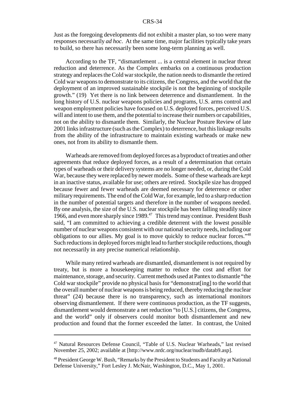Just as the foregoing developments did not exhibit a master plan, so too were many responses necessarily *ad hoc*. At the same time, major facilities typically take years to build, so there has necessarily been some long-term planning as well.

According to the TF, "dismantlement ... is a central element in nuclear threat reduction and deterrence. As the Complex embarks on a continuous production strategy and replaces the Cold war stockpile, the nation needs to dismantle the retired Cold war weapons to demonstrate to its citizens, the Congress, and the world that the deployment of an improved sustainable stockpile is not the beginning of stockpile growth." (19) Yet there is no link between deterrence and dismantlement. In the long history of U.S. nuclear weapons policies and programs, U.S. arms control and weapon employment policies have focused on U.S. deployed forces, perceived U.S. will and intent to use them, and the potential to increase their numbers or capabilities, not on the ability to dismantle them. Similarly, the Nuclear Posture Review of late 2001 links infrastructure (such as the Complex) to deterrence, but this linkage results from the ability of the infrastructure to maintain existing warheads or make new ones, not from its ability to dismantle them.

Warheads are removed from deployed forces as a byproduct of treaties and other agreements that reduce deployed forces, as a result of a determination that certain types of warheads or their delivery systems are no longer needed, or, during the Cold War, because they were replaced by newer models. Some of these warheads are kept in an inactive status, available for use; others are retired. Stockpile size has dropped because fewer and fewer warheads are deemed necessary for deterrence or other military requirements. The end of the Cold War, for example, led to a sharp reduction in the number of potential targets and therefore in the number of weapons needed. By one analysis, the size of the U.S. nuclear stockpile has been falling steadily since 1966, and even more sharply since 1989.<sup>47</sup> This trend may continue. President Bush said, "I am committed to achieving a credible deterrent with the lowest possible number of nuclear weapons consistent with our national security needs, including our obligations to our allies. My goal is to move quickly to reduce nuclear forces."48 Such reductions in deployed forces might lead to further stockpile reductions, though not necessarily in any precise numerical relationship.

While many retired warheads are dismantled, dismantlement is not required by treaty, but is more a housekeeping matter to reduce the cost and effort for maintenance, storage, and security. Current methods used at Pantex to dismantle "the Cold war stockpile" provide no physical basis for "demonstrat[ing] to the world that the overall number of nuclear weapons is being reduced, thereby reducing the nuclear threat" (24) because there is no transparency, such as international monitors observing dismantlement. If there were continuous production, as the TF suggests, dismantlement would demonstrate a net reduction "to [U.S.] citizens, the Congress, and the world" only if observers could monitor both dismantlement and new production and found that the former exceeded the latter. In contrast, the United

<sup>47</sup> Natural Resources Defense Council, "Table of U.S. Nuclear Warheads," last revised November 25, 2002; available at [http://www.nrdc.org/nuclear/nudb/datab9.asp].

<sup>&</sup>lt;sup>48</sup> President George W. Bush, "Remarks by the President to Students and Faculty at National Defense University," Fort Lesley J. McNair, Washington, D.C., May 1, 2001.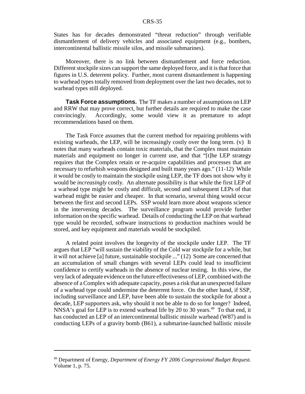States has for decades demonstrated "threat reduction" through verifiable dismantlement of delivery vehicles and associated equipment (e.g., bombers, intercontinental ballistic missile silos, and missile submarines).

Moreover, there is no link between dismantlement and force reduction. Different stockpile sizes can support the same deployed force, and it is that force that figures in U.S. deterrent policy. Further, most current dismantlement is happening to warhead types totally removed from deployment over the last two decades, not to warhead types still deployed.

**Task Force assumptions.** The TF makes a number of assumptions on LEP and RRW that may prove correct, but further details are required to make the case convincingly. Accordingly, some would view it as premature to adopt recommendations based on them.

The Task Force assumes that the current method for repairing problems with existing warheads, the LEP, will be increasingly costly over the long term. (v) It notes that many warheads contain toxic materials, that the Complex must maintain materials and equipment no longer in current use, and that "[t]he LEP strategy requires that the Complex retain or re-acquire capabilities and processes that are necessary to refurbish weapons designed and built many years ago." (11-12) While it would be costly to maintain the stockpile using LEP, the TF does not show why it would be *increasingly* costly. An alternate possibility is that while the first LEP of a warhead type might be costly and difficult, second and subsequent LEPs of that warhead might be easier and cheaper. In that scenario, several thing would occur between the first and second LEPs. SSP would learn more about weapons science in the intervening decades. The surveillance program would provide further information on the specific warhead. Details of conducting the LEP on that warhead type would be recorded, software instructions to production machines would be stored, and key equipment and materials would be stockpiled.

A related point involves the longevity of the stockpile under LEP. The TF argues that LEP "will sustain the viability of the Cold war stockpile for a while, but it will not achieve [a] future, sustainable stockpile ..." (12) Some are concerned that an accumulation of small changes with several LEPs could lead to insufficient confidence to certify warheads in the absence of nuclear testing. In this view, the very lack of adequate evidence on the future effectiveness of LEP, combined with the absence of a Complex with adequate capacity, poses a risk that an unexpected failure of a warhead type could undermine the deterrent force. On the other hand, if SSP, including surveillance and LEP, have been able to sustain the stockpile for about a decade, LEP supporters ask, why should it not be able to do so for longer? Indeed, NNSA's goal for LEP is to extend warhead life by 20 to 30 years.<sup>49</sup> To that end, it has conducted an LEP of an intercontinental ballistic missile warhead (W87) and is conducting LEPs of a gravity bomb (B61), a submarine-launched ballistic missile

<sup>49</sup> Department of Energy, *Department of Energy FY 2006 Congressional Budget Request.* Volume 1, p. 75.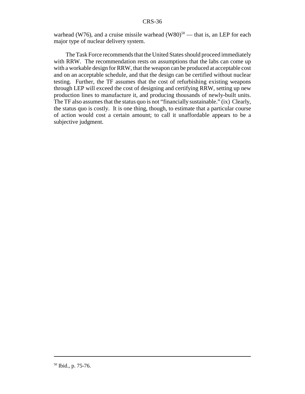warhead (W76), and a cruise missile warhead (W80)<sup>50</sup> — that is, an LEP for each major type of nuclear delivery system.

The Task Force recommends that the United States should proceed immediately with RRW. The recommendation rests on assumptions that the labs can come up with a workable design for RRW, that the weapon can be produced at acceptable cost and on an acceptable schedule, and that the design can be certified without nuclear testing. Further, the TF assumes that the cost of refurbishing existing weapons through LEP will exceed the cost of designing and certifying RRW, setting up new production lines to manufacture it, and producing thousands of newly-built units. The TF also assumes that the status quo is not "financially sustainable." (ix) Clearly, the status quo is costly. It is one thing, though, to estimate that a particular course of action would cost a certain amount; to call it unaffordable appears to be a subjective judgment.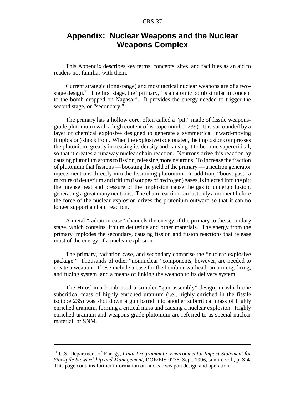## **Appendix: Nuclear Weapons and the Nuclear Weapons Complex**

This Appendix describes key terms, concepts, sites, and facilities as an aid to readers not familiar with them.

Current strategic (long-range) and most tactical nuclear weapons are of a twostage design.<sup>51</sup> The first stage, the "primary," is an atomic bomb similar in concept to the bomb dropped on Nagasaki. It provides the energy needed to trigger the second stage, or "secondary."

The primary has a hollow core, often called a "pit," made of fissile weaponsgrade plutonium (with a high content of isotope number 239). It is surrounded by a layer of chemical explosive designed to generate a symmetrical inward-moving (implosion) shock front. When the explosive is detonated, the implosion compresses the plutonium, greatly increasing its density and causing it to become supercritical, so that it creates a runaway nuclear chain reaction. Neutrons drive this reaction by causing plutonium atoms to fission, releasing more neutrons. To increase the fraction of plutonium that fissions — boosting the yield of the primary — a neutron generator injects neutrons directly into the fissioning plutonium. In addition, "boost gas," a mixture of deuterium and tritium (isotopes of hydrogen) gases, is injected into the pit; the intense heat and pressure of the implosion cause the gas to undergo fusion, generating a great many neutrons. The chain reaction can last only a moment before the force of the nuclear explosion drives the plutonium outward so that it can no longer support a chain reaction.

A metal "radiation case" channels the energy of the primary to the secondary stage, which contains lithium deuteride and other materials. The energy from the primary implodes the secondary, causing fission and fusion reactions that release most of the energy of a nuclear explosion.

The primary, radiation case, and secondary comprise the "nuclear explosive package." Thousands of other "nonnuclear" components, however, are needed to create a weapon. These include a case for the bomb or warhead, an arming, firing, and fuzing system, and a means of linking the weapon to its delivery system.

The Hiroshima bomb used a simpler "gun assembly" design, in which one subcritical mass of highly enriched uranium (i.e., highly enriched in the fissile isotope 235) was shot down a gun barrel into another subcritical mass of highly enriched uranium, forming a critical mass and causing a nuclear explosion. Highly enriched uranium and weapons-grade plutonium are referred to as special nuclear material, or SNM.

<sup>51</sup> U.S. Department of Energy, *Final Programmatic Environmental Impact Statement for Stockpile Stewardship and Management,* DOE/EIS-0236, Sept. 1996, summ. vol., p. S-4. This page contains further information on nuclear weapon design and operation.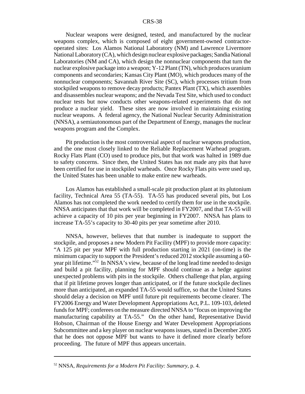Nuclear weapons were designed, tested, and manufactured by the nuclear weapons complex, which is composed of eight government-owned contractoroperated sites: Los Alamos National Laboratory (NM) and Lawrence Livermore National Laboratory (CA), which design nuclear explosive packages; Sandia National Laboratories (NM and CA), which design the nonnuclear components that turn the nuclear explosive package into a weapon; Y-12 Plant (TN), which produces uranium components and secondaries; Kansas City Plant (MO), which produces many of the nonnuclear components; Savannah River Site (SC), which processes tritium from stockpiled weapons to remove decay products; Pantex Plant (TX), which assembles and disassembles nuclear weapons; and the Nevada Test Site, which used to conduct nuclear tests but now conducts other weapons-related experiments that do not produce a nuclear yield. These sites are now involved in maintaining existing nuclear weapons. A federal agency, the National Nuclear Security Administration (NNSA), a semiautonomous part of the Department of Energy, manages the nuclear weapons program and the Complex.

Pit production is the most controversial aspect of nuclear weapons production, and the one most closely linked to the Reliable Replacement Warhead program. Rocky Flats Plant (CO) used to produce pits, but that work was halted in 1989 due to safety concerns. Since then, the United States has not made any pits that have been certified for use in stockpiled warheads. Once Rocky Flats pits were used up, the United States has been unable to make entire new warheads.

Los Alamos has established a small-scale pit production plant at its plutonium facility, Technical Area 55 (TA-55). TA-55 has produced several pits, but Los Alamos has not completed the work needed to certify them for use in the stockpile. NNSA anticipates that that work will be completed in FY2007, and that TA-55 will achieve a capacity of 10 pits per year beginning in FY2007. NNSA has plans to increase TA-55's capacity to 30-40 pits per year sometime after 2010.

NNSA, however, believes that that number is inadequate to support the stockpile, and proposes a new Modern Pit Facility (MPF) to provide more capacity: "A 125 pit per year MPF with full production starting in 2021 (on-time) is the minimum capacity to support the President's reduced 2012 stockpile assuming a 60 year pit lifetime."<sup>52</sup> In NNSA's view, because of the long lead time needed to design and build a pit facility, planning for MPF should continue as a hedge against unexpected problems with pits in the stockpile. Others challenge that plan, arguing that if pit lifetime proves longer than anticipated, or if the future stockpile declines more than anticipated, an expanded TA-55 would suffice, so that the United States should delay a decision on MPF until future pit requirements become clearer. The FY2006 Energy and Water Development Appropriations Act, P.L. 109-103, deleted funds for MPF; conferees on the measure directed NNSA to "focus on improving the manufacturing capability at TA-55." On the other hand, Representative David Hobson, Chairman of the House Energy and Water Development Appropriations Subcommittee and a key player on nuclear weapons issues, stated in December 2005 that he does not oppose MPF but wants to have it defined more clearly before proceeding. The future of MPF thus appears uncertain.

<sup>52</sup> NNSA, *Requirements for a Modern Pit Facility: Summary,* p. 4.